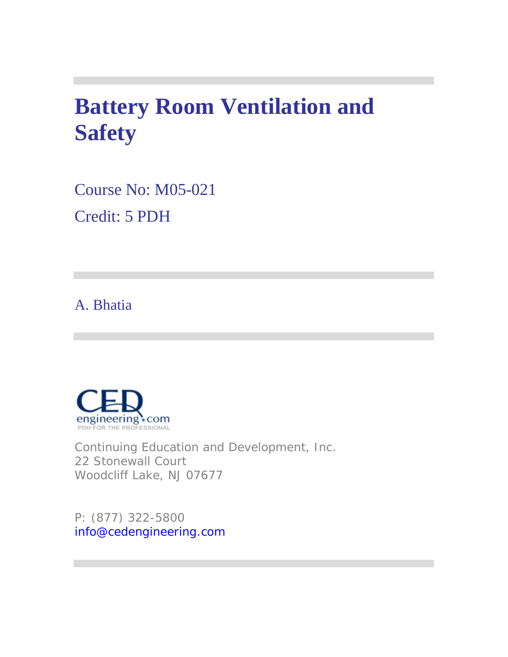# **Battery Room Ventilation and Safety**

Course No: M05-021 Credit: 5 PDH

# A. Bhatia



Continuing Education and Development, Inc. 22 Stonewall Court Woodcliff Lake, NJ 07677

P: (877) 322-5800 info@cedengineering.com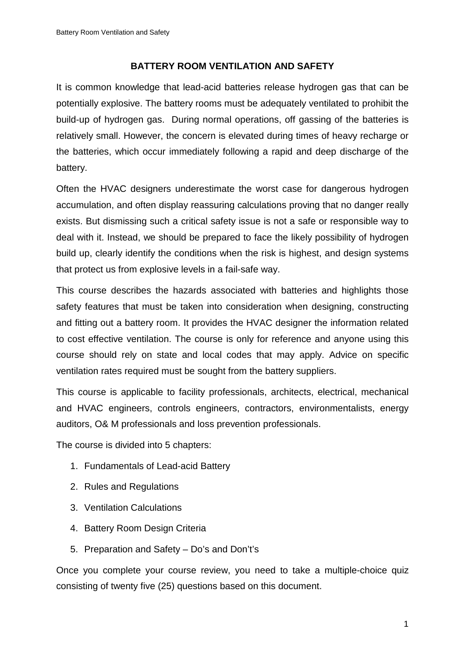### **BATTERY ROOM VENTILATION AND SAFETY**

It is common knowledge that lead-acid batteries release hydrogen gas that can be potentially explosive. The battery rooms must be adequately ventilated to prohibit the build-up of hydrogen gas. During normal operations, off gassing of the batteries is relatively small. However, the concern is elevated during times of heavy recharge or the batteries, which occur immediately following a rapid and deep discharge of the battery.

Often the HVAC designers underestimate the worst case for dangerous hydrogen accumulation, and often display reassuring calculations proving that no danger really exists. But dismissing such a critical safety issue is not a safe or responsible way to deal with it. Instead, we should be prepared to face the likely possibility of hydrogen build up, clearly identify the conditions when the risk is highest, and design systems that protect us from explosive levels in a fail-safe way.

This course describes the hazards associated with batteries and highlights those safety features that must be taken into consideration when designing, constructing and fitting out a battery room. It provides the HVAC designer the information related to cost effective ventilation. The course is only for reference and anyone using this course should rely on state and local codes that may apply. Advice on specific ventilation rates required must be sought from the battery suppliers.

This course is applicable to facility professionals, architects, electrical, mechanical and HVAC engineers, controls engineers, contractors, environmentalists, energy auditors, O& M professionals and loss prevention professionals.

The course is divided into 5 chapters:

- 1. Fundamentals of Lead-acid Battery
- 2. Rules and Regulations
- 3. Ventilation Calculations
- 4. Battery Room Design Criteria
- 5. Preparation and Safety Do's and Don't's

Once you complete your course review, you need to take a multiple-choice quiz consisting of twenty five (25) questions based on this document.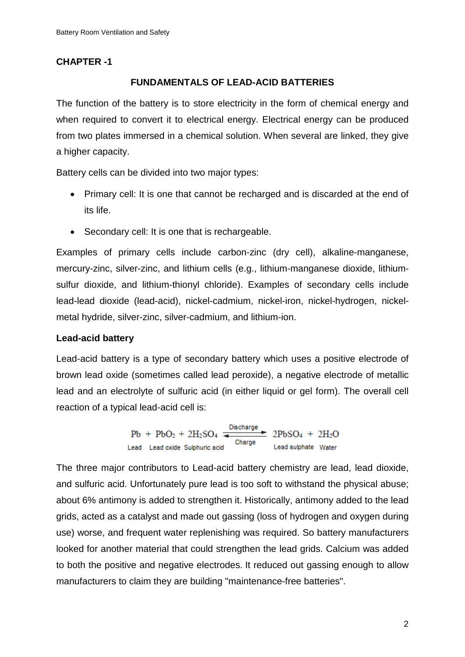### **CHAPTER -1**

### **FUNDAMENTALS OF LEAD-ACID BATTERIES**

The function of the battery is to store electricity in the form of chemical energy and when required to convert it to electrical energy. Electrical energy can be produced from two plates immersed in a chemical solution. When several are linked, they give a higher capacity.

Battery cells can be divided into two major types:

- Primary cell: It is one that cannot be recharged and is discarded at the end of its life.
- Secondary cell: It is one that is rechargeable.

Examples of primary cells include carbon-zinc (dry cell), alkaline-manganese, mercury-zinc, silver-zinc, and lithium cells (e.g., lithium-manganese dioxide, lithiumsulfur dioxide, and lithium-thionyl chloride). Examples of secondary cells include lead-lead dioxide (lead-acid), nickel-cadmium, nickel-iron, nickel-hydrogen, nickelmetal hydride, silver-zinc, silver-cadmium, and lithium-ion.

### **Lead-acid battery**

Lead-acid battery is a type of secondary battery which uses a positive electrode of brown lead oxide (sometimes called lead peroxide), a negative electrode of metallic lead and an electrolyte of sulfuric acid (in either liquid or gel form). The overall cell reaction of a typical lead-acid cell is:

> $Pb + PbO<sub>2</sub> + 2H<sub>2</sub>SO<sub>4</sub>$ <br>Lead Lead oxide Sulphuric acid<br>Lead sulphate Water Lead Lead oxide Sulphuric acid

The three major contributors to Lead-acid battery chemistry are lead, lead dioxide, and sulfuric acid. Unfortunately pure lead is too soft to withstand the physical abuse; about 6% antimony is added to strengthen it. Historically, antimony added to the lead grids, acted as a catalyst and made out gassing (loss of hydrogen and oxygen during use) worse, and frequent water replenishing was required. So battery manufacturers looked for another material that could strengthen the lead grids. Calcium was added to both the positive and negative electrodes. It reduced out gassing enough to allow manufacturers to claim they are building "maintenance-free batteries".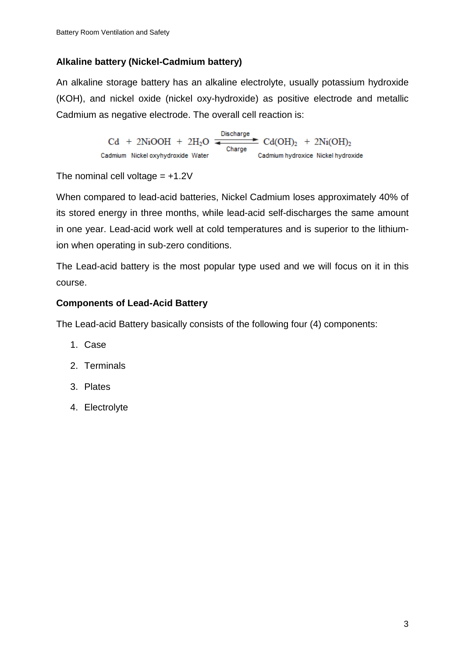# **Alkaline battery (Nickel-Cadmium battery)**

An alkaline storage battery has an alkaline electrolyte, usually potassium hydroxide (KOH), and nickel oxide (nickel oxy-hydroxide) as positive electrode and metallic Cadmium as negative electrode. The overall cell reaction is:

> Discharge  $Cd + 2NiOOH + 2H<sub>2</sub>O =$  $\pm$  Cd(OH), + 2N<sub>i</sub>(OH), Charge Cadmium Nickel oxyhydroxide Water Cadmium hydroxice Nickel hydroxide

The nominal cell voltage  $= +1.2V$ 

When compared to lead-acid batteries, Nickel Cadmium loses approximately 40% of its stored energy in three months, while lead-acid self-discharges the same amount in one year. Lead-acid work well at cold temperatures and is superior to the lithiumion when operating in sub-zero conditions.

The Lead-acid battery is the most popular type used and we will focus on it in this course.

# **Components of Lead-Acid Battery**

The Lead-acid Battery basically consists of the following four (4) components:

- 1. Case
- 2. Terminals
- 3. Plates
- 4. Electrolyte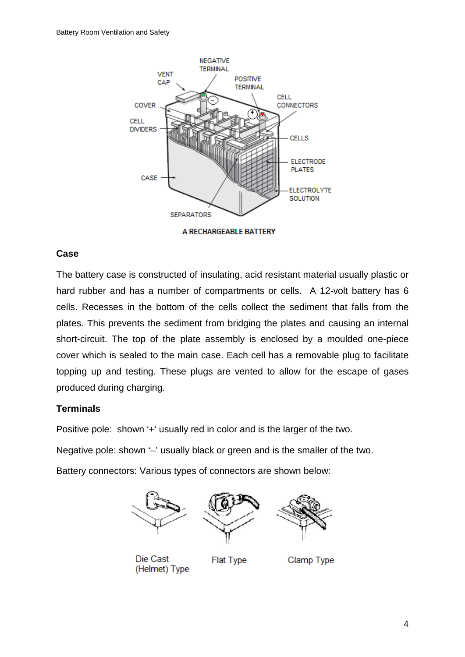

A RECHARGEABLE BATTERY

### **Case**

The battery case is constructed of insulating, acid resistant material usually plastic or hard rubber and has a number of compartments or cells. A 12-volt battery has 6 cells. Recesses in the bottom of the cells collect the sediment that falls from the plates. This prevents the sediment from bridging the plates and causing an internal short-circuit. The top of the plate assembly is enclosed by a moulded one-piece cover which is sealed to the main case. Each cell has a removable plug to facilitate topping up and testing. These plugs are vented to allow for the escape of gases produced during charging.

# **Terminals**

Positive pole: shown '+' usually red in color and is the larger of the two.

Negative pole: shown '-' usually black or green and is the smaller of the two.

Battery connectors: Various types of connectors are shown below:



Die Cast (Helmet) Type

**Flat Type** 

Clamp Type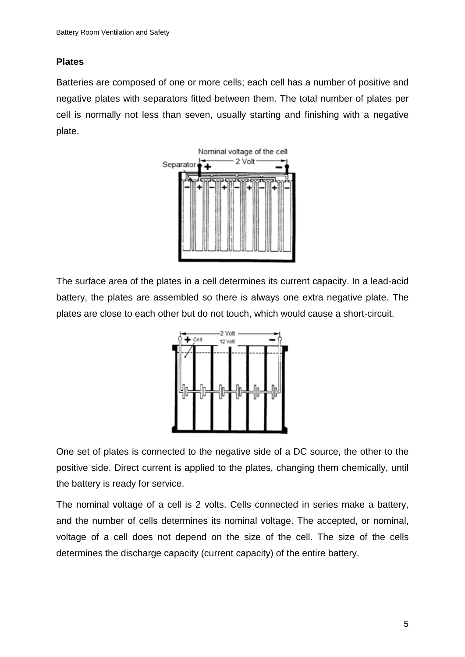### **Plates**

Batteries are composed of one or more cells; each cell has a number of positive and negative plates with separators fitted between them. The total number of plates per cell is normally not less than seven, usually starting and finishing with a negative plate.



The surface area of the plates in a cell determines its current capacity. In a lead-acid battery, the plates are assembled so there is always one extra negative plate. The plates are close to each other but do not touch, which would cause a short-circuit.



One set of plates is connected to the negative side of a DC source, the other to the positive side. Direct current is applied to the plates, changing them chemically, until the battery is ready for service.

The nominal voltage of a cell is 2 volts. Cells connected in series make a battery, and the number of cells determines its nominal voltage. The accepted, or nominal, voltage of a cell does not depend on the size of the cell. The size of the cells determines the discharge capacity (current capacity) of the entire battery.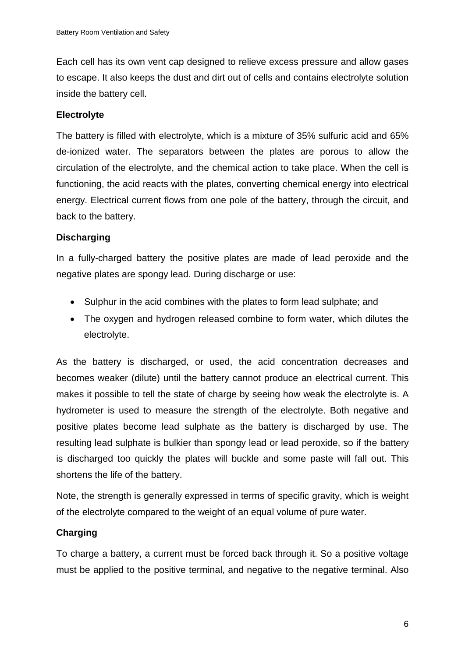Each cell has its own vent cap designed to relieve excess pressure and allow gases to escape. It also keeps the dust and dirt out of cells and contains electrolyte solution inside the battery cell.

# **Electrolyte**

The battery is filled with electrolyte, which is a mixture of 35% sulfuric acid and 65% de-ionized water. The separators between the plates are porous to allow the circulation of the electrolyte, and the chemical action to take place. When the cell is functioning, the acid reacts with the plates, converting chemical energy into electrical energy. Electrical current flows from one pole of the battery, through the circuit, and back to the battery.

# **Discharging**

In a fully-charged battery the positive plates are made of lead peroxide and the negative plates are spongy lead. During discharge or use:

- Sulphur in the acid combines with the plates to form lead sulphate; and
- The oxygen and hydrogen released combine to form water, which dilutes the electrolyte.

As the battery is discharged, or used, the acid concentration decreases and becomes weaker (dilute) until the battery cannot produce an electrical current. This makes it possible to tell the state of charge by seeing how weak the electrolyte is. A hydrometer is used to measure the strength of the electrolyte. Both negative and positive plates become lead sulphate as the battery is discharged by use. The resulting lead sulphate is bulkier than spongy lead or lead peroxide, so if the battery is discharged too quickly the plates will buckle and some paste will fall out. This shortens the life of the battery.

Note, the strength is generally expressed in terms of specific gravity, which is weight of the electrolyte compared to the weight of an equal volume of pure water.

# **Charging**

To charge a battery, a current must be forced back through it. So a positive voltage must be applied to the positive terminal, and negative to the negative terminal. Also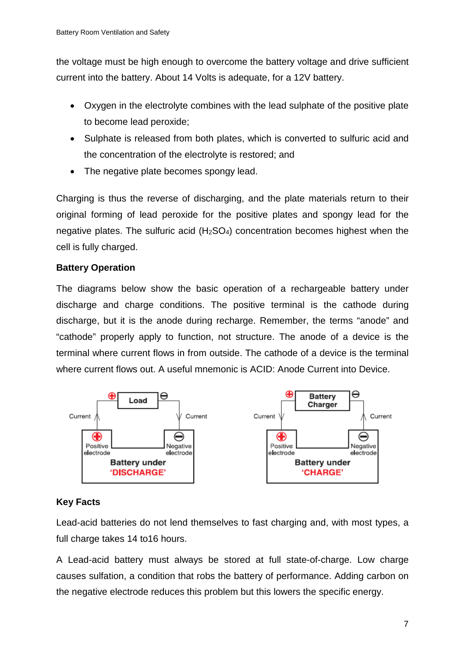the voltage must be high enough to overcome the battery voltage and drive sufficient current into the battery. About 14 Volts is adequate, for a 12V battery.

- Oxygen in the electrolyte combines with the lead sulphate of the positive plate to become lead peroxide;
- Sulphate is released from both plates, which is converted to sulfuric acid and the concentration of the electrolyte is restored; and
- The negative plate becomes spongy lead.

Charging is thus the reverse of discharging, and the plate materials return to their original forming of lead peroxide for the positive plates and spongy lead for the negative plates. The sulfuric acid (H2SO4) concentration becomes highest when the cell is fully charged.

# **Battery Operation**

The diagrams below show the basic operation of a rechargeable battery under discharge and charge conditions. The positive terminal is the cathode during discharge, but it is the anode during recharge. Remember, the terms "anode" and "cathode" properly apply to function, not structure. The anode of a device is the terminal where current flows in from outside. The cathode of a device is the terminal where current flows out. A useful mnemonic is ACID: Anode Current into Device.



# **Key Facts**

Lead-acid batteries do not lend themselves to fast charging and, with most types, a full charge takes 14 to16 hours.

A Lead-acid battery must always be stored at full state-of-charge. Low charge causes sulfation, a condition that robs the battery of performance. Adding carbon on the negative electrode reduces this problem but this lowers the specific energy.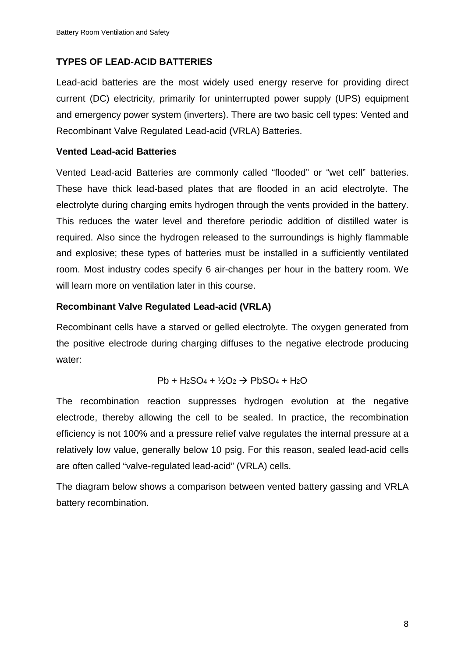### **TYPES OF LEAD-ACID BATTERIES**

Lead-acid batteries are the most widely used energy reserve for providing direct current (DC) electricity, primarily for uninterrupted power supply (UPS) equipment and emergency power system (inverters). There are two basic cell types: Vented and Recombinant Valve Regulated Lead-acid (VRLA) Batteries.

### **Vented Lead-acid Batteries**

Vented Lead-acid Batteries are commonly called "flooded" or "wet cell" batteries. These have thick lead-based plates that are flooded in an acid electrolyte. The electrolyte during charging emits hydrogen through the vents provided in the battery. This reduces the water level and therefore periodic addition of distilled water is required. Also since the hydrogen released to the surroundings is highly flammable and explosive; these types of batteries must be installed in a sufficiently ventilated room. Most industry codes specify 6 air-changes per hour in the battery room. We will learn more on ventilation later in this course.

### **Recombinant Valve Regulated Lead-acid (VRLA)**

Recombinant cells have a starved or gelled electrolyte. The oxygen generated from the positive electrode during charging diffuses to the negative electrode producing water:

$$
\mathsf{Pb} + \mathsf{H}_2\mathsf{SO}_4 + \mathcal{V}_2\mathsf{O}_2 \rightarrow \mathsf{PbSO}_4 + \mathsf{H}_2\mathsf{O}
$$

The recombination reaction suppresses hydrogen evolution at the negative electrode, thereby allowing the cell to be sealed. In practice, the recombination efficiency is not 100% and a pressure relief valve regulates the internal pressure at a relatively low value, generally below 10 psig. For this reason, sealed lead-acid cells are often called "valve-regulated lead-acid" (VRLA) cells.

The diagram below shows a comparison between vented battery gassing and VRLA battery recombination.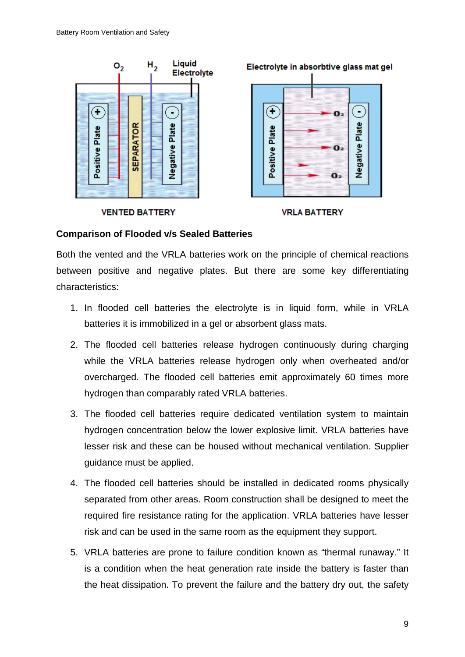

#### **Comparison of Flooded v/s Sealed Batteries**

Both the vented and the VRLA batteries work on the principle of chemical reactions between positive and negative plates. But there are some key differentiating characteristics:

- 1. In flooded cell batteries the electrolyte is in liquid form, while in VRLA batteries it is immobilized in a gel or absorbent glass mats.
- 2. The flooded cell batteries release hydrogen continuously during charging while the VRLA batteries release hydrogen only when overheated and/or overcharged. The flooded cell batteries emit approximately 60 times more hydrogen than comparably rated VRLA batteries.
- 3. The flooded cell batteries require dedicated ventilation system to maintain hydrogen concentration below the lower explosive limit. VRLA batteries have lesser risk and these can be housed without mechanical ventilation. Supplier guidance must be applied.
- 4. The flooded cell batteries should be installed in dedicated rooms physically separated from other areas. Room construction shall be designed to meet the required fire resistance rating for the application. VRLA batteries have lesser risk and can be used in the same room as the equipment they support.
- 5. VRLA batteries are prone to failure condition known as "thermal runaway." It is a condition when the heat generation rate inside the battery is faster than the heat dissipation. To prevent the failure and the battery dry out, the safety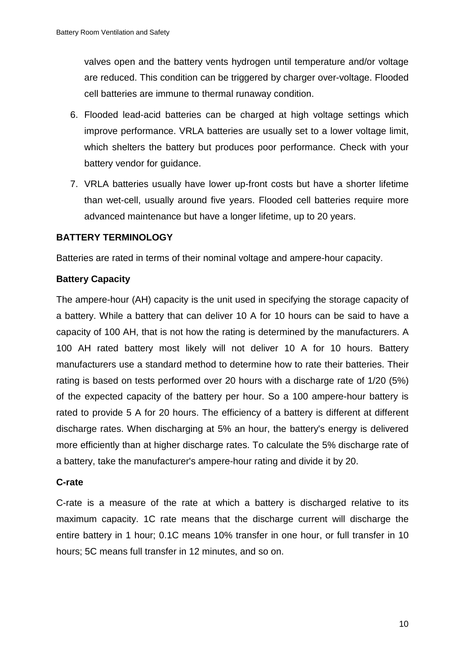valves open and the battery vents hydrogen until temperature and/or voltage are reduced. This condition can be triggered by charger over-voltage. Flooded cell batteries are immune to thermal runaway condition.

- 6. Flooded lead-acid batteries can be charged at high voltage settings which improve performance. VRLA batteries are usually set to a lower voltage limit, which shelters the battery but produces poor performance. Check with your battery vendor for guidance.
- 7. VRLA batteries usually have lower up-front costs but have a shorter lifetime than wet-cell, usually around five years. Flooded cell batteries require more advanced maintenance but have a longer lifetime, up to 20 years.

### **BATTERY TERMINOLOGY**

Batteries are rated in terms of their nominal voltage and ampere-hour capacity.

### **Battery Capacity**

The ampere-hour (AH) capacity is the unit used in specifying the storage capacity of a battery. While a battery that can deliver 10 A for 10 hours can be said to have a capacity of 100 AH, that is not how the rating is determined by the manufacturers. A 100 AH rated battery most likely will not deliver 10 A for 10 hours. Battery manufacturers use a standard method to determine how to rate their batteries. Their rating is based on tests performed over 20 hours with a discharge rate of 1/20 (5%) of the expected capacity of the battery per hour. So a 100 ampere-hour battery is rated to provide 5 A for 20 hours. The efficiency of a battery is different at different discharge rates. When discharging at 5% an hour, the battery's energy is delivered more efficiently than at higher discharge rates. To calculate the 5% discharge rate of a battery, take the manufacturer's ampere-hour rating and divide it by 20.

### **C-rate**

C-rate is a measure of the rate at which a battery is discharged relative to its maximum capacity. 1C rate means that the discharge current will discharge the entire battery in 1 hour; 0.1C means 10% transfer in one hour, or full transfer in 10 hours; 5C means full transfer in 12 minutes, and so on.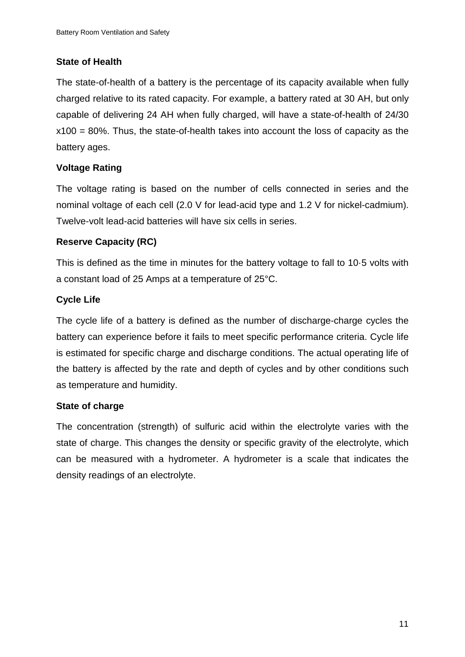# **State of Health**

The state-of-health of a battery is the percentage of its capacity available when fully charged relative to its rated capacity. For example, a battery rated at 30 AH, but only capable of delivering 24 AH when fully charged, will have a state-of-health of 24/30 x100 = 80%. Thus, the state-of-health takes into account the loss of capacity as the battery ages.

# **Voltage Rating**

The voltage rating is based on the number of cells connected in series and the nominal voltage of each cell (2.0 V for lead-acid type and 1.2 V for nickel-cadmium). Twelve-volt lead-acid batteries will have six cells in series.

# **Reserve Capacity (RC)**

This is defined as the time in minutes for the battery voltage to fall to 10·5 volts with a constant load of 25 Amps at a temperature of 25°C.

# **Cycle Life**

The cycle life of a battery is defined as the number of discharge-charge cycles the battery can experience before it fails to meet specific performance criteria. Cycle life is estimated for specific charge and discharge conditions. The actual operating life of the battery is affected by the rate and depth of cycles and by other conditions such as temperature and humidity.

# **State of charge**

The concentration (strength) of sulfuric acid within the electrolyte varies with the state of charge. This changes the density or specific gravity of the electrolyte, which can be measured with a hydrometer. A hydrometer is a scale that indicates the density readings of an electrolyte.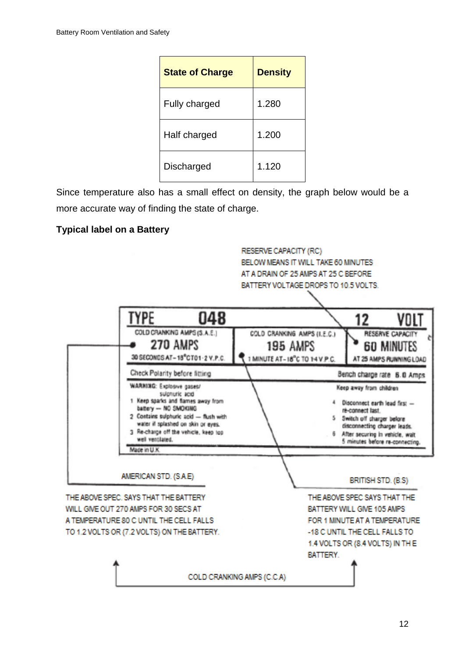| <b>State of Charge</b> | <b>Density</b> |
|------------------------|----------------|
| <b>Fully charged</b>   | 1.280          |
| Half charged           | 1.200          |
| Discharged             | 1.120          |

Since temperature also has a small effect on density, the graph below would be a more accurate way of finding the state of charge.

# **Typical label on a Battery**

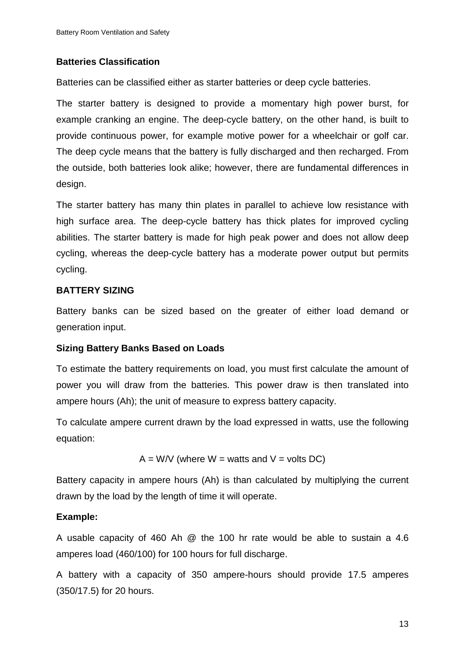### **Batteries Classification**

Batteries can be classified either as starter batteries or deep cycle batteries.

The starter battery is designed to provide a momentary high power burst, for example cranking an engine. The deep-cycle battery, on the other hand, is built to provide continuous power, for example motive power for a wheelchair or golf car. The deep cycle means that the battery is fully discharged and then recharged. From the outside, both batteries look alike; however, there are fundamental differences in design.

The starter battery has many thin plates in parallel to achieve low resistance with high surface area. The deep-cycle battery has thick plates for improved cycling abilities. The starter battery is made for high peak power and does not allow deep cycling, whereas the deep-cycle battery has a moderate power output but permits cycling.

### **BATTERY SIZING**

Battery banks can be sized based on the greater of either load demand or generation input.

### **Sizing Battery Banks Based on Loads**

To estimate the battery requirements on load, you must first calculate the amount of power you will draw from the batteries. This power draw is then translated into ampere hours (Ah); the unit of measure to express battery capacity.

To calculate ampere current drawn by the load expressed in watts, use the following equation:

$$
A = W/V
$$
 (where  $W =$  watts and  $V =$  volts DC)

Battery capacity in ampere hours (Ah) is than calculated by multiplying the current drawn by the load by the length of time it will operate.

# **Example:**

A usable capacity of 460 Ah @ the 100 hr rate would be able to sustain a 4.6 amperes load (460/100) for 100 hours for full discharge.

A battery with a capacity of 350 ampere-hours should provide 17.5 amperes (350/17.5) for 20 hours.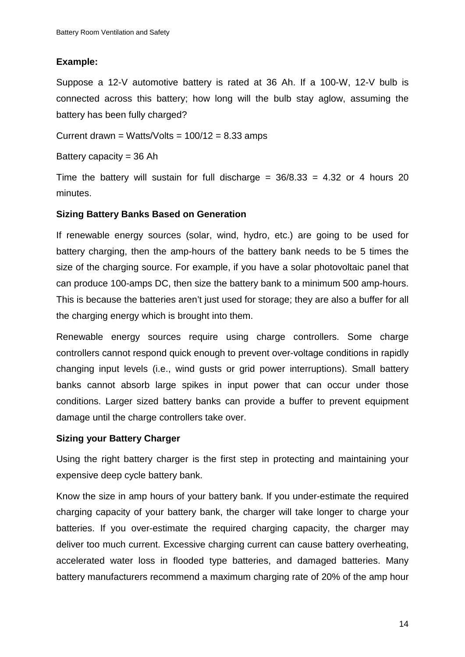### **Example:**

Suppose a 12-V automotive battery is rated at 36 Ah. If a 100-W, 12-V bulb is connected across this battery; how long will the bulb stay aglow, assuming the battery has been fully charged?

Current drawn = Watts/Volts =  $100/12 = 8.33$  amps

Battery capacity  $=$  36 Ah

Time the battery will sustain for full discharge =  $36/8.33 = 4.32$  or 4 hours 20 minutes.

### **Sizing Battery Banks Based on Generation**

If renewable energy sources (solar, wind, hydro, etc.) are going to be used for battery charging, then the amp-hours of the battery bank needs to be 5 times the size of the charging source. For example, if you have a solar photovoltaic panel that can produce 100-amps DC, then size the battery bank to a minimum 500 amp-hours. This is because the batteries aren't just used for storage; they are also a buffer for all the charging energy which is brought into them.

Renewable energy sources require using charge controllers. Some charge controllers cannot respond quick enough to prevent over-voltage conditions in rapidly changing input levels (i.e., wind gusts or grid power interruptions). Small battery banks cannot absorb large spikes in input power that can occur under those conditions. Larger sized battery banks can provide a buffer to prevent equipment damage until the charge controllers take over.

### **Sizing your Battery Charger**

Using the right battery charger is the first step in protecting and maintaining your expensive deep cycle battery bank.

Know the size in amp hours of your battery bank. If you under-estimate the required charging capacity of your battery bank, the charger will take longer to charge your batteries. If you over-estimate the required charging capacity, the charger may deliver too much current. Excessive charging current can cause battery overheating, accelerated water loss in flooded type batteries, and damaged batteries. Many battery manufacturers recommend a maximum charging rate of 20% of the amp hour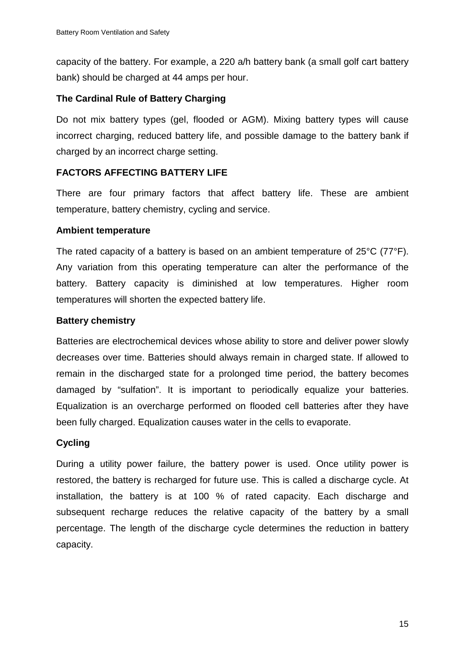capacity of the battery. For example, a 220 a/h battery bank (a small golf cart battery bank) should be charged at 44 amps per hour.

### **The Cardinal Rule of Battery Charging**

Do not mix battery types (gel, flooded or AGM). Mixing battery types will cause incorrect charging, reduced battery life, and possible damage to the battery bank if charged by an incorrect charge setting.

### **FACTORS AFFECTING BATTERY LIFE**

There are four primary factors that affect battery life. These are ambient temperature, battery chemistry, cycling and service.

### **Ambient temperature**

The rated capacity of a battery is based on an ambient temperature of 25°C (77°F). Any variation from this operating temperature can alter the performance of the battery. Battery capacity is diminished at low temperatures. Higher room temperatures will shorten the expected battery life.

### **Battery chemistry**

Batteries are electrochemical devices whose ability to store and deliver power slowly decreases over time. Batteries should always remain in charged state. If allowed to remain in the discharged state for a prolonged time period, the battery becomes damaged by "sulfation". It is important to periodically equalize your batteries. Equalization is an overcharge performed on flooded cell batteries after they have been fully charged. Equalization causes water in the cells to evaporate.

### **Cycling**

During a utility power failure, the battery power is used. Once utility power is restored, the battery is recharged for future use. This is called a discharge cycle. At installation, the battery is at 100 % of rated capacity. Each discharge and subsequent recharge reduces the relative capacity of the battery by a small percentage. The length of the discharge cycle determines the reduction in battery capacity.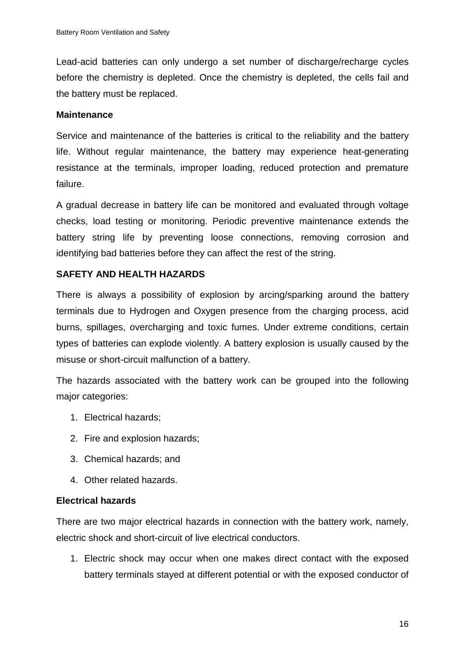Lead-acid batteries can only undergo a set number of discharge/recharge cycles before the chemistry is depleted. Once the chemistry is depleted, the cells fail and the battery must be replaced.

#### **Maintenance**

Service and maintenance of the batteries is critical to the reliability and the battery life. Without regular maintenance, the battery may experience heat-generating resistance at the terminals, improper loading, reduced protection and premature failure.

A gradual decrease in battery life can be monitored and evaluated through voltage checks, load testing or monitoring. Periodic preventive maintenance extends the battery string life by preventing loose connections, removing corrosion and identifying bad batteries before they can affect the rest of the string.

### **SAFETY AND HEALTH HAZARDS**

There is always a possibility of explosion by arcing/sparking around the battery terminals due to Hydrogen and Oxygen presence from the charging process, acid burns, spillages, overcharging and toxic fumes. Under extreme conditions, certain types of batteries can explode violently. A battery explosion is usually caused by the misuse or short-circuit malfunction of a battery.

The hazards associated with the battery work can be grouped into the following major categories:

- 1. Electrical hazards;
- 2. Fire and explosion hazards;
- 3. Chemical hazards; and
- 4. Other related hazards.

### **Electrical hazards**

There are two major electrical hazards in connection with the battery work, namely, electric shock and short-circuit of live electrical conductors.

1. Electric shock may occur when one makes direct contact with the exposed battery terminals stayed at different potential or with the exposed conductor of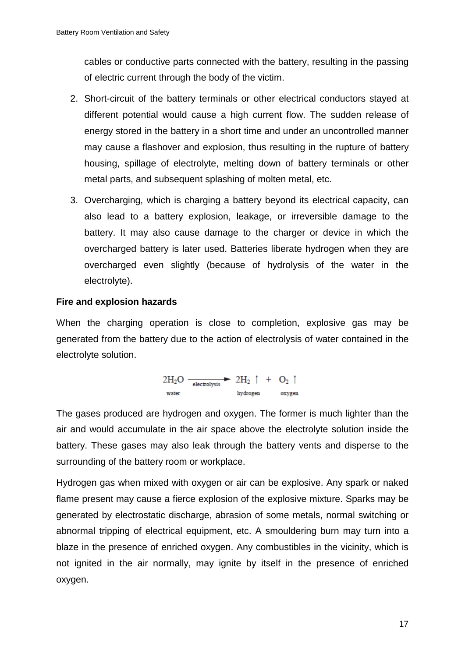cables or conductive parts connected with the battery, resulting in the passing of electric current through the body of the victim.

- 2. Short-circuit of the battery terminals or other electrical conductors stayed at different potential would cause a high current flow. The sudden release of energy stored in the battery in a short time and under an uncontrolled manner may cause a flashover and explosion, thus resulting in the rupture of battery housing, spillage of electrolyte, melting down of battery terminals or other metal parts, and subsequent splashing of molten metal, etc.
- 3. Overcharging, which is charging a battery beyond its electrical capacity, can also lead to a battery explosion, leakage, or irreversible damage to the battery. It may also cause damage to the charger or device in which the overcharged battery is later used. Batteries liberate hydrogen when they are overcharged even slightly (because of hydrolysis of the water in the electrolyte).

### **Fire and explosion hazards**

When the charging operation is close to completion, explosive gas may be generated from the battery due to the action of electrolysis of water contained in the electrolyte solution.

$$
\begin{array}{ccc}\n2H_2O & \xrightarrow{\hspace{0.5cm}} & 2H_2 \uparrow & + & O_2 \uparrow \\
\text{water} & \text{hydrogen} & \text{oxygen} \\
\end{array}
$$

The gases produced are hydrogen and oxygen. The former is much lighter than the air and would accumulate in the air space above the electrolyte solution inside the battery. These gases may also leak through the battery vents and disperse to the surrounding of the battery room or workplace.

Hydrogen gas when mixed with oxygen or air can be explosive. Any spark or naked flame present may cause a fierce explosion of the explosive mixture. Sparks may be generated by electrostatic discharge, abrasion of some metals, normal switching or abnormal tripping of electrical equipment, etc. A smouldering burn may turn into a blaze in the presence of enriched oxygen. Any combustibles in the vicinity, which is not ignited in the air normally, may ignite by itself in the presence of enriched oxygen.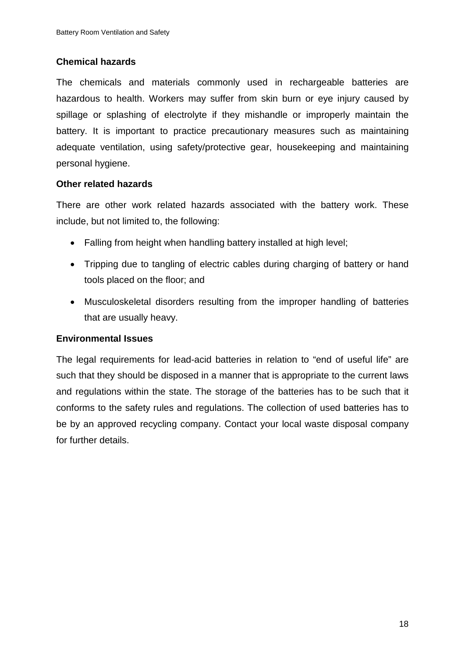### **Chemical hazards**

The chemicals and materials commonly used in rechargeable batteries are hazardous to health. Workers may suffer from skin burn or eye injury caused by spillage or splashing of electrolyte if they mishandle or improperly maintain the battery. It is important to practice precautionary measures such as maintaining adequate ventilation, using safety/protective gear, housekeeping and maintaining personal hygiene.

### **Other related hazards**

There are other work related hazards associated with the battery work. These include, but not limited to, the following:

- Falling from height when handling battery installed at high level;
- Tripping due to tangling of electric cables during charging of battery or hand tools placed on the floor; and
- Musculoskeletal disorders resulting from the improper handling of batteries that are usually heavy.

### **Environmental Issues**

The legal requirements for lead-acid batteries in relation to "end of useful life" are such that they should be disposed in a manner that is appropriate to the current laws and regulations within the state. The storage of the batteries has to be such that it conforms to the safety rules and regulations. The collection of used batteries has to be by an approved recycling company. Contact your local waste disposal company for further details.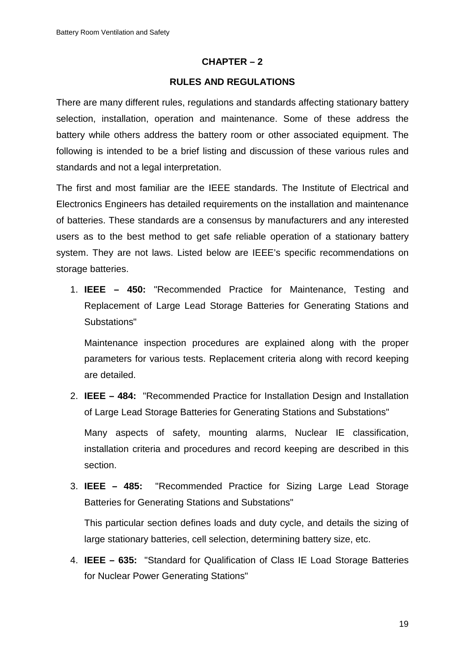### **CHAPTER – 2**

### **RULES AND REGULATIONS**

There are many different rules, regulations and standards affecting stationary battery selection, installation, operation and maintenance. Some of these address the battery while others address the battery room or other associated equipment. The following is intended to be a brief listing and discussion of these various rules and standards and not a legal interpretation.

The first and most familiar are the IEEE standards. The Institute of Electrical and Electronics Engineers has detailed requirements on the installation and maintenance of batteries. These standards are a consensus by manufacturers and any interested users as to the best method to get safe reliable operation of a stationary battery system. They are not laws. Listed below are IEEE's specific recommendations on storage batteries.

1. **IEEE – 450:** "Recommended Practice for Maintenance, Testing and Replacement of Large Lead Storage Batteries for Generating Stations and Substations"

Maintenance inspection procedures are explained along with the proper parameters for various tests. Replacement criteria along with record keeping are detailed.

2. **IEEE – 484:** "Recommended Practice for Installation Design and Installation of Large Lead Storage Batteries for Generating Stations and Substations"

Many aspects of safety, mounting alarms, Nuclear IE classification, installation criteria and procedures and record keeping are described in this section.

3. **IEEE – 485:** "Recommended Practice for Sizing Large Lead Storage Batteries for Generating Stations and Substations"

This particular section defines loads and duty cycle, and details the sizing of large stationary batteries, cell selection, determining battery size, etc.

4. **IEEE – 635:** "Standard for Qualification of Class IE Load Storage Batteries for Nuclear Power Generating Stations"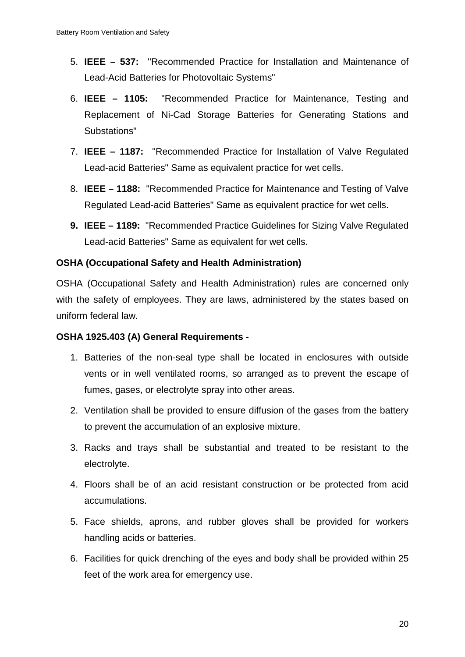- 5. **IEEE – 537:** "Recommended Practice for Installation and Maintenance of Lead-Acid Batteries for Photovoltaic Systems"
- 6. **IEEE – 1105:** "Recommended Practice for Maintenance, Testing and Replacement of Ni-Cad Storage Batteries for Generating Stations and Substations"
- 7. **IEEE – 1187:** "Recommended Practice for Installation of Valve Regulated Lead-acid Batteries" Same as equivalent practice for wet cells.
- 8. **IEEE – 1188:** "Recommended Practice for Maintenance and Testing of Valve Regulated Lead-acid Batteries" Same as equivalent practice for wet cells.
- **9. IEEE – 1189:** "Recommended Practice Guidelines for Sizing Valve Regulated Lead-acid Batteries" Same as equivalent for wet cells.

### **OSHA (Occupational Safety and Health Administration)**

OSHA (Occupational Safety and Health Administration) rules are concerned only with the safety of employees. They are laws, administered by the states based on uniform federal law.

### **OSHA 1925.403 (A) General Requirements -**

- 1. Batteries of the non-seal type shall be located in enclosures with outside vents or in well ventilated rooms, so arranged as to prevent the escape of fumes, gases, or electrolyte spray into other areas.
- 2. Ventilation shall be provided to ensure diffusion of the gases from the battery to prevent the accumulation of an explosive mixture.
- 3. Racks and trays shall be substantial and treated to be resistant to the electrolyte.
- 4. Floors shall be of an acid resistant construction or be protected from acid accumulations.
- 5. Face shields, aprons, and rubber gloves shall be provided for workers handling acids or batteries.
- 6. Facilities for quick drenching of the eyes and body shall be provided within 25 feet of the work area for emergency use.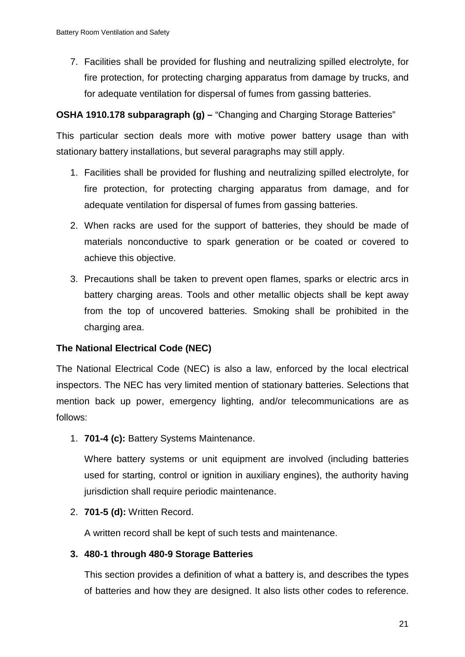7. Facilities shall be provided for flushing and neutralizing spilled electrolyte, for fire protection, for protecting charging apparatus from damage by trucks, and for adequate ventilation for dispersal of fumes from gassing batteries.

### **OSHA 1910.178 subparagraph (g) –** "Changing and Charging Storage Batteries"

This particular section deals more with motive power battery usage than with stationary battery installations, but several paragraphs may still apply.

- 1. Facilities shall be provided for flushing and neutralizing spilled electrolyte, for fire protection, for protecting charging apparatus from damage, and for adequate ventilation for dispersal of fumes from gassing batteries.
- 2. When racks are used for the support of batteries, they should be made of materials nonconductive to spark generation or be coated or covered to achieve this objective.
- 3. Precautions shall be taken to prevent open flames, sparks or electric arcs in battery charging areas. Tools and other metallic objects shall be kept away from the top of uncovered batteries. Smoking shall be prohibited in the charging area.

### **The National Electrical Code (NEC)**

The National Electrical Code (NEC) is also a law, enforced by the local electrical inspectors. The NEC has very limited mention of stationary batteries. Selections that mention back up power, emergency lighting, and/or telecommunications are as follows:

1. **701-4 (c):** Battery Systems Maintenance.

Where battery systems or unit equipment are involved (including batteries used for starting, control or ignition in auxiliary engines), the authority having jurisdiction shall require periodic maintenance.

2. **701-5 (d):** Written Record.

A written record shall be kept of such tests and maintenance.

### **3. 480-1 through 480-9 Storage Batteries**

This section provides a definition of what a battery is, and describes the types of batteries and how they are designed. It also lists other codes to reference.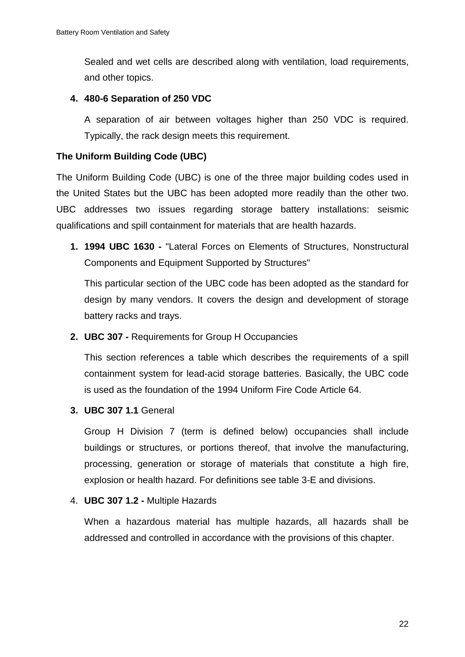Sealed and wet cells are described along with ventilation, load requirements, and other topics.

### **4. 480-6 Separation of 250 VDC**

A separation of air between voltages higher than 250 VDC is required. Typically, the rack design meets this requirement.

# **The Uniform Building Code (UBC)**

The Uniform Building Code (UBC) is one of the three major building codes used in the United States but the UBC has been adopted more readily than the other two. UBC addresses two issues regarding storage battery installations: seismic qualifications and spill containment for materials that are health hazards.

**1. 1994 UBC 1630 -** "Lateral Forces on Elements of Structures, Nonstructural Components and Equipment Supported by Structures"

This particular section of the UBC code has been adopted as the standard for design by many vendors. It covers the design and development of storage battery racks and trays.

**2. UBC 307 -** Requirements for Group H Occupancies

This section references a table which describes the requirements of a spill containment system for lead-acid storage batteries. Basically, the UBC code is used as the foundation of the 1994 Uniform Fire Code Article 64.

**3. UBC 307 1.1** General

Group H Division 7 (term is defined below) occupancies shall include buildings or structures, or portions thereof, that involve the manufacturing, processing, generation or storage of materials that constitute a high fire, explosion or health hazard. For definitions see table 3-E and divisions.

4. **UBC 307 1.2 -** Multiple Hazards

When a hazardous material has multiple hazards, all hazards shall be addressed and controlled in accordance with the provisions of this chapter.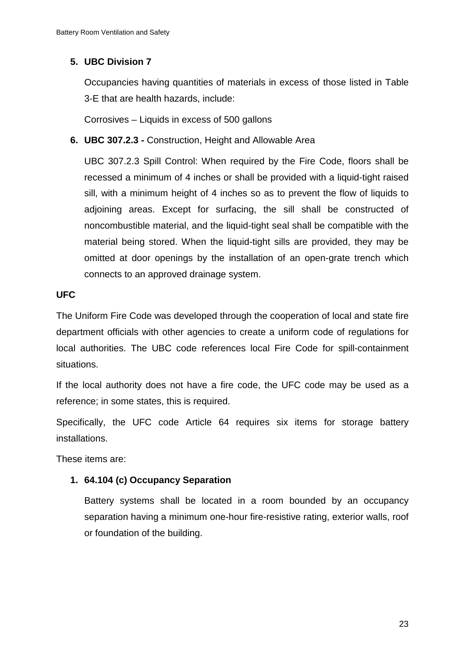# **5. UBC Division 7**

Occupancies having quantities of materials in excess of those listed in Table 3-E that are health hazards, include:

Corrosives – Liquids in excess of 500 gallons

**6. UBC 307.2.3 -** Construction, Height and Allowable Area

UBC 307.2.3 Spill Control: When required by the Fire Code, floors shall be recessed a minimum of 4 inches or shall be provided with a liquid-tight raised sill, with a minimum height of 4 inches so as to prevent the flow of liquids to adjoining areas. Except for surfacing, the sill shall be constructed of noncombustible material, and the liquid-tight seal shall be compatible with the material being stored. When the liquid-tight sills are provided, they may be omitted at door openings by the installation of an open-grate trench which connects to an approved drainage system.

# **UFC**

The Uniform Fire Code was developed through the cooperation of local and state fire department officials with other agencies to create a uniform code of regulations for local authorities. The UBC code references local Fire Code for spill-containment situations.

If the local authority does not have a fire code, the UFC code may be used as a reference; in some states, this is required.

Specifically, the UFC code Article 64 requires six items for storage battery installations.

These items are:

# **1. 64.104 (c) Occupancy Separation**

Battery systems shall be located in a room bounded by an occupancy separation having a minimum one-hour fire-resistive rating, exterior walls, roof or foundation of the building.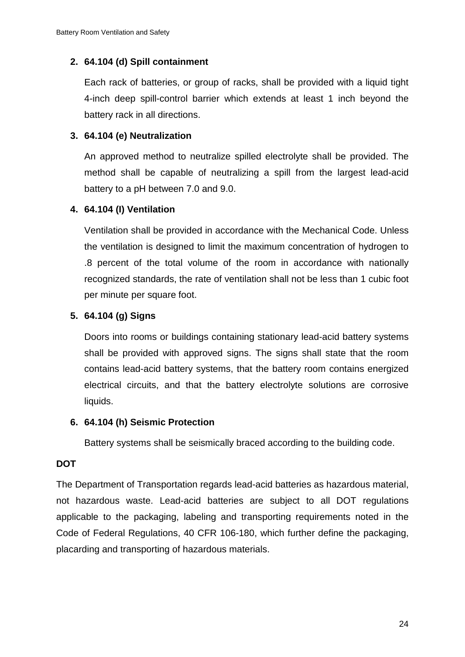### **2. 64.104 (d) Spill containment**

Each rack of batteries, or group of racks, shall be provided with a liquid tight 4-inch deep spill-control barrier which extends at least 1 inch beyond the battery rack in all directions.

### **3. 64.104 (e) Neutralization**

An approved method to neutralize spilled electrolyte shall be provided. The method shall be capable of neutralizing a spill from the largest lead-acid battery to a pH between 7.0 and 9.0.

### **4. 64.104 (I) Ventilation**

Ventilation shall be provided in accordance with the Mechanical Code. Unless the ventilation is designed to limit the maximum concentration of hydrogen to .8 percent of the total volume of the room in accordance with nationally recognized standards, the rate of ventilation shall not be less than 1 cubic foot per minute per square foot.

### **5. 64.104 (g) Signs**

Doors into rooms or buildings containing stationary lead-acid battery systems shall be provided with approved signs. The signs shall state that the room contains lead-acid battery systems, that the battery room contains energized electrical circuits, and that the battery electrolyte solutions are corrosive liquids.

### **6. 64.104 (h) Seismic Protection**

Battery systems shall be seismically braced according to the building code.

### **DOT**

The Department of Transportation regards lead-acid batteries as hazardous material, not hazardous waste. Lead-acid batteries are subject to all DOT regulations applicable to the packaging, labeling and transporting requirements noted in the Code of Federal Regulations, 40 CFR 106-180, which further define the packaging, placarding and transporting of hazardous materials.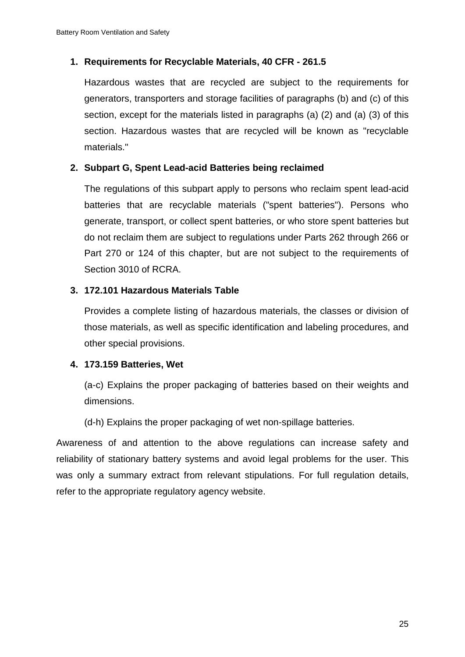### **1. Requirements for Recyclable Materials, 40 CFR - 261.5**

Hazardous wastes that are recycled are subject to the requirements for generators, transporters and storage facilities of paragraphs (b) and (c) of this section, except for the materials listed in paragraphs (a) (2) and (a) (3) of this section. Hazardous wastes that are recycled will be known as "recyclable materials."

### **2. Subpart G, Spent Lead-acid Batteries being reclaimed**

The regulations of this subpart apply to persons who reclaim spent lead-acid batteries that are recyclable materials ("spent batteries"). Persons who generate, transport, or collect spent batteries, or who store spent batteries but do not reclaim them are subject to regulations under Parts 262 through 266 or Part 270 or 124 of this chapter, but are not subject to the requirements of Section 3010 of RCRA.

### **3. 172.101 Hazardous Materials Table**

Provides a complete listing of hazardous materials, the classes or division of those materials, as well as specific identification and labeling procedures, and other special provisions.

### **4. 173.159 Batteries, Wet**

(a-c) Explains the proper packaging of batteries based on their weights and dimensions.

(d-h) Explains the proper packaging of wet non-spillage batteries.

Awareness of and attention to the above regulations can increase safety and reliability of stationary battery systems and avoid legal problems for the user. This was only a summary extract from relevant stipulations. For full regulation details, refer to the appropriate regulatory agency website.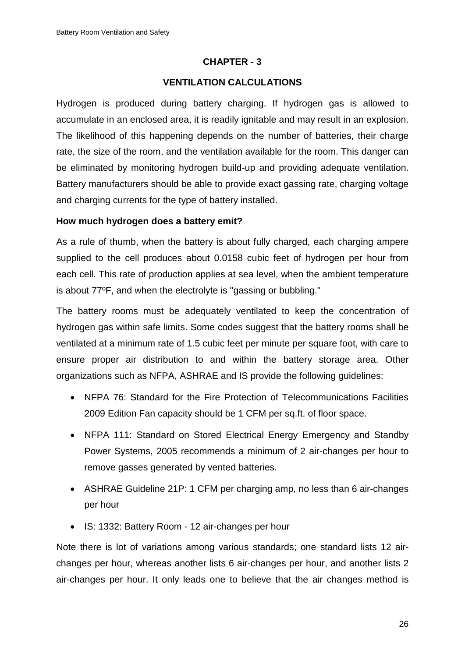### **CHAPTER - 3**

### **VENTILATION CALCULATIONS**

Hydrogen is produced during battery charging. If hydrogen gas is allowed to accumulate in an enclosed area, it is readily ignitable and may result in an explosion. The likelihood of this happening depends on the number of batteries, their charge rate, the size of the room, and the ventilation available for the room. This danger can be eliminated by monitoring hydrogen build-up and providing adequate ventilation. Battery manufacturers should be able to provide exact gassing rate, charging voltage and charging currents for the type of battery installed.

### **How much hydrogen does a battery emit?**

As a rule of thumb, when the battery is about fully charged, each charging ampere supplied to the cell produces about 0.0158 cubic feet of hydrogen per hour from each cell. This rate of production applies at sea level, when the ambient temperature is about 77ºF, and when the electrolyte is "gassing or bubbling."

The battery rooms must be adequately ventilated to keep the concentration of hydrogen gas within safe limits. Some codes suggest that the battery rooms shall be ventilated at a minimum rate of 1.5 cubic feet per minute per square foot, with care to ensure proper air distribution to and within the battery storage area. Other organizations such as NFPA, ASHRAE and IS provide the following guidelines:

- NFPA 76: Standard for the Fire Protection of Telecommunications Facilities 2009 Edition Fan capacity should be 1 CFM per sq.ft. of floor space.
- NFPA 111: Standard on Stored Electrical Energy Emergency and Standby Power Systems, 2005 recommends a minimum of 2 air-changes per hour to remove gasses generated by vented batteries.
- ASHRAE Guideline 21P: 1 CFM per charging amp, no less than 6 air-changes per hour
- IS: 1332: Battery Room 12 air-changes per hour

Note there is lot of variations among various standards; one standard lists 12 airchanges per hour, whereas another lists 6 air-changes per hour, and another lists 2 air-changes per hour. It only leads one to believe that the air changes method is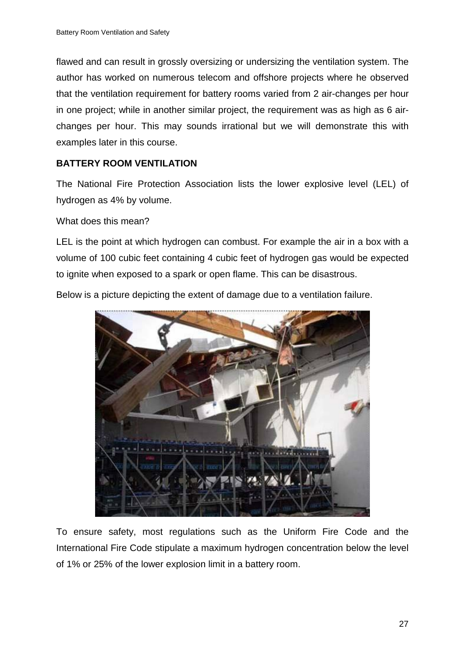flawed and can result in grossly oversizing or undersizing the ventilation system. The author has worked on numerous telecom and offshore projects where he observed that the ventilation requirement for battery rooms varied from 2 air-changes per hour in one project; while in another similar project, the requirement was as high as 6 airchanges per hour. This may sounds irrational but we will demonstrate this with examples later in this course.

### **BATTERY ROOM VENTILATION**

The National Fire Protection Association lists the lower explosive level (LEL) of hydrogen as 4% by volume.

What does this mean?

LEL is the point at which hydrogen can combust. For example the air in a box with a volume of 100 cubic feet containing 4 cubic feet of hydrogen gas would be expected to ignite when exposed to a spark or open flame. This can be disastrous.

Below is a picture depicting the extent of damage due to a ventilation failure.



To ensure safety, most regulations such as the Uniform Fire Code and the International Fire Code stipulate a maximum hydrogen concentration below the level of 1% or 25% of the lower explosion limit in a battery room.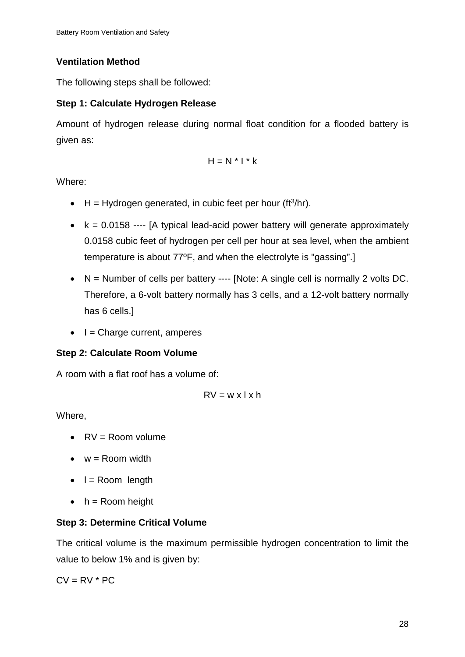# **Ventilation Method**

The following steps shall be followed:

# **Step 1: Calculate Hydrogen Release**

Amount of hydrogen release during normal float condition for a flooded battery is given as:

$$
H = N * I * k
$$

Where:

- $\bullet$  H = Hydrogen generated, in cubic feet per hour (ft<sup>3</sup>/hr).
- $k = 0.0158$  ---- [A typical lead-acid power battery will generate approximately 0.0158 cubic feet of hydrogen per cell per hour at sea level, when the ambient temperature is about 77ºF, and when the electrolyte is "gassing".]
- $N =$  Number of cells per battery ---- [Note: A single cell is normally 2 volts DC. Therefore, a 6-volt battery normally has 3 cells, and a 12-volt battery normally has 6 cells.]
- $\bullet$   $\vdash$  = Charge current, amperes

# **Step 2: Calculate Room Volume**

A room with a flat roof has a volume of:

$$
RV = w \times l \times h
$$

Where,

- $\bullet$   $RV =$  Room volume
- $\bullet$   $w =$  Room width
- $\bullet$  l = Room length
- $\bullet$  h = Room height

# **Step 3: Determine Critical Volume**

The critical volume is the maximum permissible hydrogen concentration to limit the value to below 1% and is given by:

 $CV = RV * PC$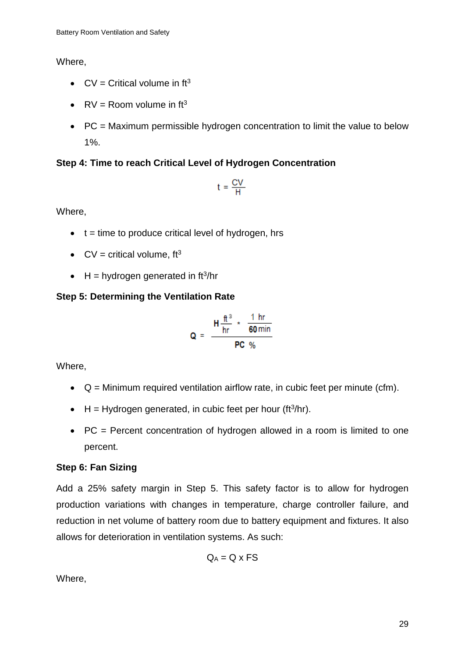Where,

- $CV = Critical volume in ft<sup>3</sup>$
- $RV =$  Room volume in  $ft^3$
- PC = Maximum permissible hydrogen concentration to limit the value to below 1%.

# **Step 4: Time to reach Critical Level of Hydrogen Concentration**

$$
t = \frac{CV}{H}
$$

Where,

- $\bullet$  t = time to produce critical level of hydrogen, hrs
- $CV = critical volume$ ,  $ft^3$
- $H = hydrogen generated in ft<sup>3</sup>/hr$

# **Step 5: Determining the Ventilation Rate**

$$
Q = \frac{H \frac{ft^3}{hr} \times \frac{1 hr}{60 min}}{PC %}
$$

Where,

- $Q =$  Minimum required ventilation airflow rate, in cubic feet per minute (cfm).
- $\bullet$  H = Hydrogen generated, in cubic feet per hour (ft<sup>3</sup>/hr).
- PC = Percent concentration of hydrogen allowed in a room is limited to one percent.

# **Step 6: Fan Sizing**

Add a 25% safety margin in Step 5. This safety factor is to allow for hydrogen production variations with changes in temperature, charge controller failure, and reduction in net volume of battery room due to battery equipment and fixtures. It also allows for deterioration in ventilation systems. As such:

$$
Q_A = Q \times FS
$$

Where,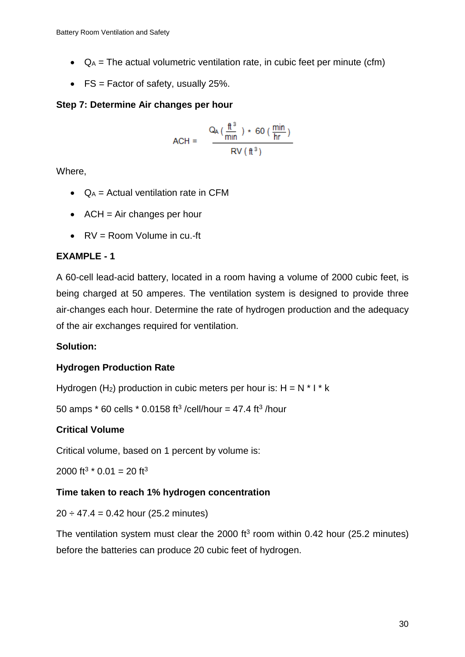- $Q_A$  = The actual volumetric ventilation rate, in cubic feet per minute (cfm)
- $FS = Factor$  of safety, usually 25%.

# **Step 7: Determine Air changes per hour**

$$
ACH = \frac{Q_A \left(\frac{ft^3}{min}\right) \cdot 60 \left(\frac{min}{hr}\right)}{RV \left(\frac{ft^3}{}
$$

Where,

- $Q_A$  = Actual ventilation rate in CFM
- $ACH = Air changes per hour$
- $\bullet$   $RV =$  Room Volume in cu.-ft

# **EXAMPLE - 1**

A 60-cell lead-acid battery, located in a room having a volume of 2000 cubic feet, is being charged at 50 amperes. The ventilation system is designed to provide three air-changes each hour. Determine the rate of hydrogen production and the adequacy of the air exchanges required for ventilation.

# **Solution:**

# **Hydrogen Production Rate**

Hydrogen (H<sub>2</sub>) production in cubic meters per hour is:  $H = N * I * k$ 

50 amps  $*$  60 cells  $*$  0.0158 ft<sup>3</sup>/cell/hour = 47.4 ft<sup>3</sup>/hour

# **Critical Volume**

Critical volume, based on 1 percent by volume is:

2000 ft<sup>3</sup>  $*$  0.01 = 20 ft<sup>3</sup>

# **Time taken to reach 1% hydrogen concentration**

# $20 \div 47.4 = 0.42$  hour (25.2 minutes)

The ventilation system must clear the 2000  $ft^3$  room within 0.42 hour (25.2 minutes) before the batteries can produce 20 cubic feet of hydrogen.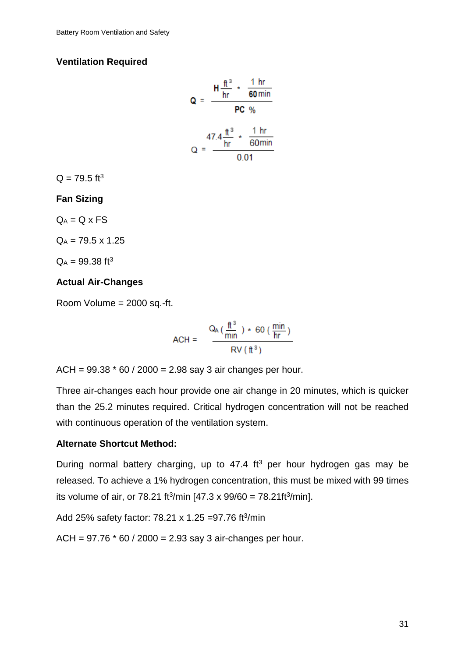### **Ventilation Required**

$$
Q = \frac{H \frac{ft^3}{hr} \times \frac{1 hr}{60 min}}{PC %}
$$

$$
Q = \frac{47.4 \frac{ft^3}{hr} \times \frac{1 hr}{60 min}}{0.01}
$$

 $Q = 79.5$  ft<sup>3</sup>

#### **Fan Sizing**

 $Q_A = Q \times FS$ 

 $Q_A = 79.5 \times 1.25$ 

 $Q_A = 99.38$  ft<sup>3</sup>

### **Actual Air-Changes**

Room Volume = 2000 sq.-ft.

$$
ACH = \frac{Q_A \left(\frac{\text{ft}^3}{\text{min}}\right) \times 60 \left(\frac{\text{min}}{\text{hr}}\right)}{\text{RV} \left(\text{ft}^3\right)}
$$

 $ACH = 99.38 * 60 / 2000 = 2.98$  say 3 air changes per hour.

Three air-changes each hour provide one air change in 20 minutes, which is quicker than the 25.2 minutes required. Critical hydrogen concentration will not be reached with continuous operation of the ventilation system.

### **Alternate Shortcut Method:**

During normal battery charging, up to  $47.4 \text{ ft}^3$  per hour hydrogen gas may be released. To achieve a 1% hydrogen concentration, this must be mixed with 99 times its volume of air, or 78.21 ft<sup>3</sup>/min [47.3 x 99/60 = 78.21ft<sup>3</sup>/min].

Add 25% safety factor: 78.21 x 1.25 = 97.76 ft $\frac{3}{min}$ 

 $ACH = 97.76 * 60 / 2000 = 2.93$  say 3 air-changes per hour.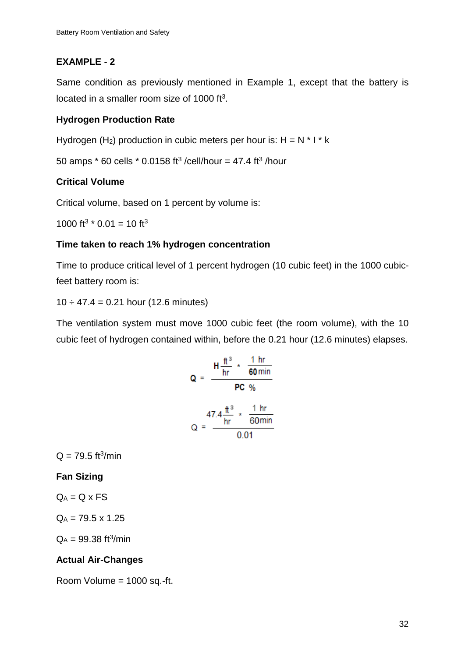# **EXAMPLE - 2**

Same condition as previously mentioned in Example 1, except that the battery is located in a smaller room size of 1000 ft<sup>3</sup>.

# **Hydrogen Production Rate**

Hydrogen (H<sub>2</sub>) production in cubic meters per hour is:  $H = N * I * k$ 

50 amps  $*$  60 cells  $*$  0.0158 ft<sup>3</sup>/cell/hour = 47.4 ft<sup>3</sup>/hour

# **Critical Volume**

Critical volume, based on 1 percent by volume is:

1000 ft<sup>3</sup>  $*$  0.01 = 10 ft<sup>3</sup>

# **Time taken to reach 1% hydrogen concentration**

Time to produce critical level of 1 percent hydrogen (10 cubic feet) in the 1000 cubicfeet battery room is:

 $10 \div 47.4 = 0.21$  hour (12.6 minutes)

The ventilation system must move 1000 cubic feet (the room volume), with the 10 cubic feet of hydrogen contained within, before the 0.21 hour (12.6 minutes) elapses.

$$
Q = \frac{H \frac{ft^3}{hr} \times \frac{1 \text{ hr}}{60 \text{ min}}}{PC \text{ %}} = \frac{47.4 \frac{ft^3}{hr} \times \frac{1 \text{ hr}}{60 \text{ min}}}{0.01}
$$

 $Q = 79.5$  ft<sup>3</sup>/min

**Fan Sizing**

 $Q_A = Q \times FS$ 

 $Q_A = 79.5 \times 1.25$ 

 $Q_A = 99.38 \text{ ft}^3/\text{min}$ 

# **Actual Air-Changes**

Room Volume = 1000 sq.-ft.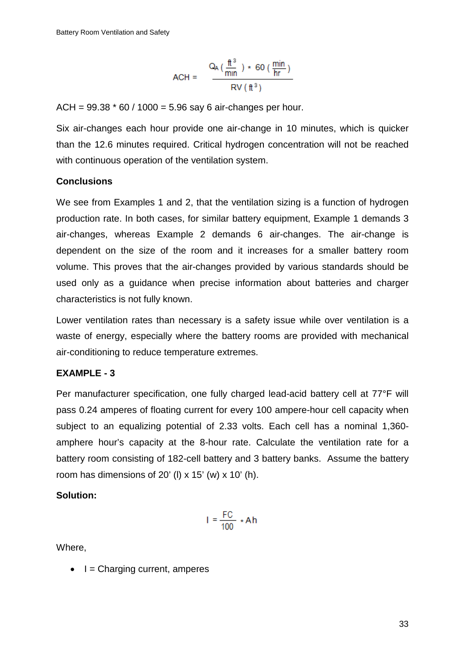$$
ACH = \frac{Q_A \left(\frac{\text{ft}^3}{\text{min}}\right) \times 60 \left(\frac{\text{min}}{\text{hr}}\right)}{\text{RV} \left(\text{ft}^3\right)}
$$

 $ACH = 99.38 * 60 / 1000 = 5.96$  say 6 air-changes per hour.

Six air-changes each hour provide one air-change in 10 minutes, which is quicker than the 12.6 minutes required. Critical hydrogen concentration will not be reached with continuous operation of the ventilation system.

#### **Conclusions**

We see from Examples 1 and 2, that the ventilation sizing is a function of hydrogen production rate. In both cases, for similar battery equipment, Example 1 demands 3 air-changes, whereas Example 2 demands 6 air-changes. The air-change is dependent on the size of the room and it increases for a smaller battery room volume. This proves that the air-changes provided by various standards should be used only as a guidance when precise information about batteries and charger characteristics is not fully known.

Lower ventilation rates than necessary is a safety issue while over ventilation is a waste of energy, especially where the battery rooms are provided with mechanical air-conditioning to reduce temperature extremes.

### **EXAMPLE - 3**

Per manufacturer specification, one fully charged lead-acid battery cell at 77°F will pass 0.24 amperes of floating current for every 100 ampere-hour cell capacity when subject to an equalizing potential of 2.33 volts. Each cell has a nominal 1,360 amphere hour's capacity at the 8-hour rate. Calculate the ventilation rate for a battery room consisting of 182-cell battery and 3 battery banks. Assume the battery room has dimensions of  $20'$  (I) x  $15'$  (w) x  $10'$  (h).

#### **Solution:**

$$
I = \frac{FC}{100} \cdot Ah
$$

Where,

 $\bullet$   $I =$  Charging current, amperes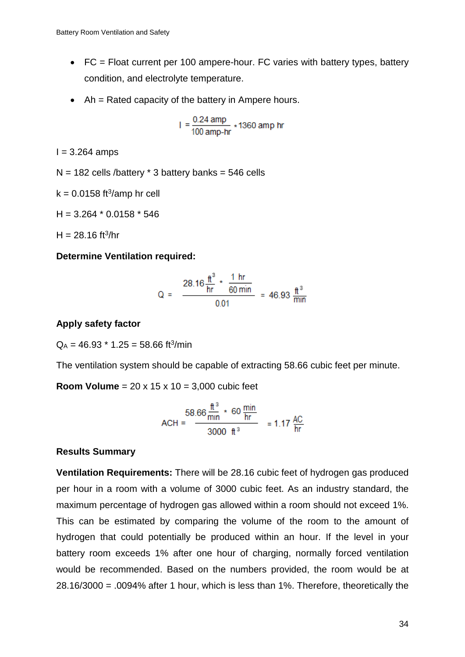- FC = Float current per 100 ampere-hour. FC varies with battery types, battery condition, and electrolyte temperature.
- Ah = Rated capacity of the battery in Ampere hours.

$$
1 = \frac{0.24 \text{ amp}}{100 \text{ amp-hr}} \times 1360 \text{ amp hr}
$$

 $I = 3.264$  amps

$$
N = 182
$$
 cells/battery \* 3 battery banks = 546 cells

 $k = 0.0158$  ft<sup>3</sup>/amp hr cell

 $H = 3.264 * 0.0158 * 546$ 

 $H = 28.16$  ft<sup>3</sup>/hr

### **Determine Ventilation required:**

Q = 
$$
\frac{28.16 \frac{\text{ft}^3}{\text{hr}} \times \frac{1 \text{ hr}}{60 \text{ min}}}{0.01} = 46.93 \frac{\text{ft}^3}{\text{min}}
$$

### **Apply safety factor**

 $Q_A = 46.93 * 1.25 = 58.66$  ft<sup>3</sup>/min

The ventilation system should be capable of extracting 58.66 cubic feet per minute.

**Room Volume** = 20 x 15 x 10 = 3,000 cubic feet

$$
ACH = \frac{58.66 \frac{\text{ft}^3}{\text{min}} \times 60 \frac{\text{min}}{\text{hr}}}{3000 \text{ ft}^3} = 1.17 \frac{\text{AC}}{\text{hr}}
$$

### **Results Summary**

**Ventilation Requirements:** There will be 28.16 cubic feet of hydrogen gas produced per hour in a room with a volume of 3000 cubic feet. As an industry standard, the maximum percentage of hydrogen gas allowed within a room should not exceed 1%. This can be estimated by comparing the volume of the room to the amount of hydrogen that could potentially be produced within an hour. If the level in your battery room exceeds 1% after one hour of charging, normally forced ventilation would be recommended. Based on the numbers provided, the room would be at 28.16/3000 = .0094% after 1 hour, which is less than 1%. Therefore, theoretically the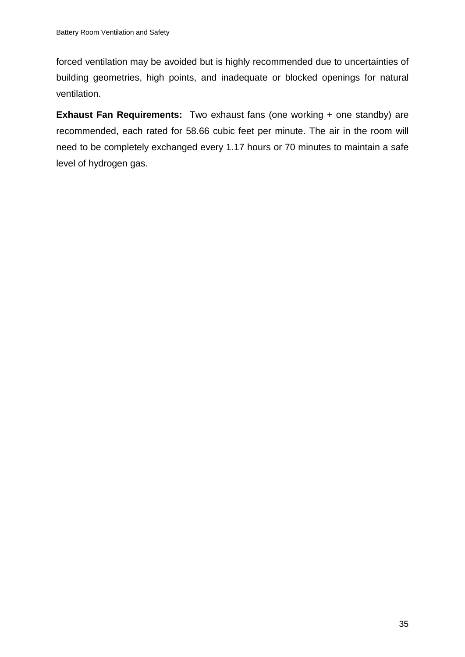forced ventilation may be avoided but is highly recommended due to uncertainties of building geometries, high points, and inadequate or blocked openings for natural ventilation.

**Exhaust Fan Requirements:** Two exhaust fans (one working + one standby) are recommended, each rated for 58.66 cubic feet per minute. The air in the room will need to be completely exchanged every 1.17 hours or 70 minutes to maintain a safe level of hydrogen gas.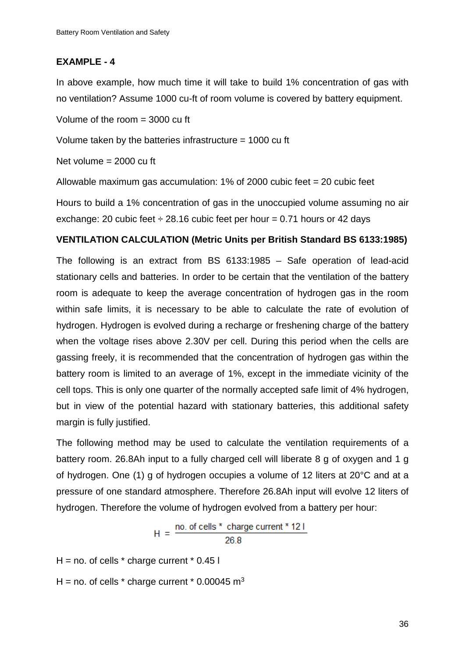### **EXAMPLE - 4**

In above example, how much time it will take to build 1% concentration of gas with no ventilation? Assume 1000 cu-ft of room volume is covered by battery equipment.

Volume of the room = 3000 cu ft

Volume taken by the batteries infrastructure = 1000 cu ft

Net volume = 2000 cu ft

Allowable maximum gas accumulation: 1% of 2000 cubic feet = 20 cubic feet

Hours to build a 1% concentration of gas in the unoccupied volume assuming no air exchange: 20 cubic feet  $\div$  28.16 cubic feet per hour = 0.71 hours or 42 days

### **VENTILATION CALCULATION (Metric Units per British Standard BS 6133:1985)**

The following is an extract from BS 6133:1985 – Safe operation of lead-acid stationary cells and batteries. In order to be certain that the ventilation of the battery room is adequate to keep the average concentration of hydrogen gas in the room within safe limits, it is necessary to be able to calculate the rate of evolution of hydrogen. Hydrogen is evolved during a recharge or freshening charge of the battery when the voltage rises above 2.30V per cell. During this period when the cells are gassing freely, it is recommended that the concentration of hydrogen gas within the battery room is limited to an average of 1%, except in the immediate vicinity of the cell tops. This is only one quarter of the normally accepted safe limit of 4% hydrogen, but in view of the potential hazard with stationary batteries, this additional safety margin is fully justified.

The following method may be used to calculate the ventilation requirements of a battery room. 26.8Ah input to a fully charged cell will liberate 8 g of oxygen and 1 g of hydrogen. One (1) g of hydrogen occupies a volume of 12 liters at 20°C and at a pressure of one standard atmosphere. Therefore 26.8Ah input will evolve 12 liters of hydrogen. Therefore the volume of hydrogen evolved from a battery per hour:

$$
H = \frac{\text{no. of cells * charge current * 121}}{26.8}
$$

 $H = no$ . of cells  $*$  charge current  $*$  0.45 l H = no. of cells  $*$  charge current  $*$  0.00045 m<sup>3</sup>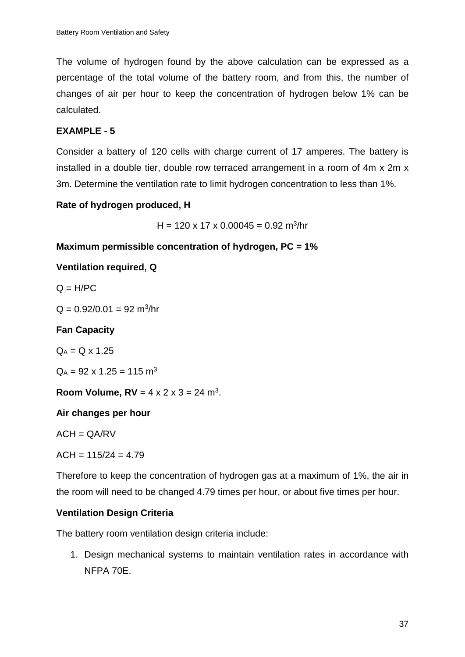The volume of hydrogen found by the above calculation can be expressed as a percentage of the total volume of the battery room, and from this, the number of changes of air per hour to keep the concentration of hydrogen below 1% can be calculated.

# **EXAMPLE - 5**

Consider a battery of 120 cells with charge current of 17 amperes. The battery is installed in a double tier, double row terraced arrangement in a room of 4m x 2m x 3m. Determine the ventilation rate to limit hydrogen concentration to less than 1%.

# **Rate of hydrogen produced, H**

 $H = 120 \times 17 \times 0.00045 = 0.92$  m<sup>3</sup>/hr

### **Maximum permissible concentration of hydrogen, PC = 1%**

### **Ventilation required, Q**

 $Q = H/PC$ 

 $Q = 0.92/0.01 = 92$  m<sup>3</sup>/hr

# **Fan Capacity**

 $Q_A = Q \times 1.25$ 

 $Q_A = 92 \times 1.25 = 115$  m<sup>3</sup>

**Room Volume,**  $RV = 4 \times 2 \times 3 = 24$  **m<sup>3</sup>.** 

# **Air changes per hour**

 $ACH = QA/RV$ 

 $ACH = 115/24 = 4.79$ 

Therefore to keep the concentration of hydrogen gas at a maximum of 1%, the air in the room will need to be changed 4.79 times per hour, or about five times per hour.

# **Ventilation Design Criteria**

The battery room ventilation design criteria include:

1. Design mechanical systems to maintain ventilation rates in accordance with NFPA 70E.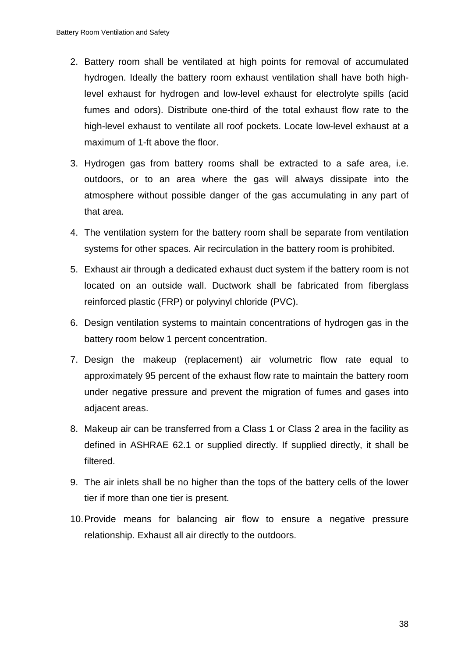- 2. Battery room shall be ventilated at high points for removal of accumulated hydrogen. Ideally the battery room exhaust ventilation shall have both highlevel exhaust for hydrogen and low-level exhaust for electrolyte spills (acid fumes and odors). Distribute one-third of the total exhaust flow rate to the high-level exhaust to ventilate all roof pockets. Locate low-level exhaust at a maximum of 1-ft above the floor.
- 3. Hydrogen gas from battery rooms shall be extracted to a safe area, i.e. outdoors, or to an area where the gas will always dissipate into the atmosphere without possible danger of the gas accumulating in any part of that area.
- 4. The ventilation system for the battery room shall be separate from ventilation systems for other spaces. Air recirculation in the battery room is prohibited.
- 5. Exhaust air through a dedicated exhaust duct system if the battery room is not located on an outside wall. Ductwork shall be fabricated from fiberglass reinforced plastic (FRP) or polyvinyl chloride (PVC).
- 6. Design ventilation systems to maintain concentrations of hydrogen gas in the battery room below 1 percent concentration.
- 7. Design the makeup (replacement) air volumetric flow rate equal to approximately 95 percent of the exhaust flow rate to maintain the battery room under negative pressure and prevent the migration of fumes and gases into adjacent areas.
- 8. Makeup air can be transferred from a Class 1 or Class 2 area in the facility as defined in ASHRAE 62.1 or supplied directly. If supplied directly, it shall be filtered.
- 9. The air inlets shall be no higher than the tops of the battery cells of the lower tier if more than one tier is present.
- 10.Provide means for balancing air flow to ensure a negative pressure relationship. Exhaust all air directly to the outdoors.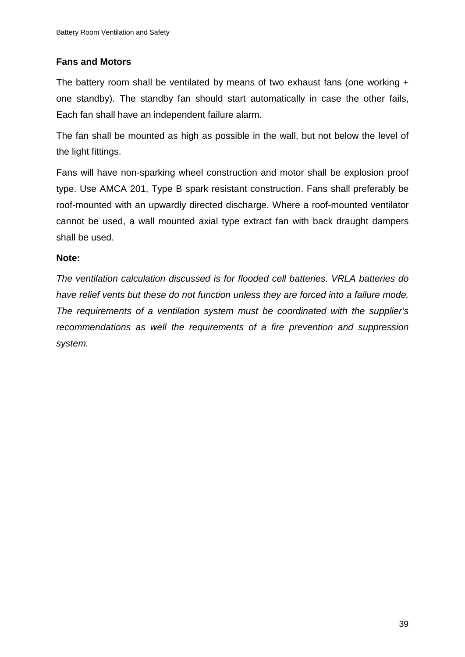### **Fans and Motors**

The battery room shall be ventilated by means of two exhaust fans (one working + one standby). The standby fan should start automatically in case the other fails, Each fan shall have an independent failure alarm.

The fan shall be mounted as high as possible in the wall, but not below the level of the light fittings.

Fans will have non-sparking wheel construction and motor shall be explosion proof type. Use AMCA 201, Type B spark resistant construction. Fans shall preferably be roof-mounted with an upwardly directed discharge. Where a roof-mounted ventilator cannot be used, a wall mounted axial type extract fan with back draught dampers shall be used.

### **Note:**

*The ventilation calculation discussed is for flooded cell batteries. VRLA batteries do have relief vents but these do not function unless they are forced into a failure mode. The requirements of a ventilation system must be coordinated with the supplier's recommendations as well the requirements of a fire prevention and suppression system.*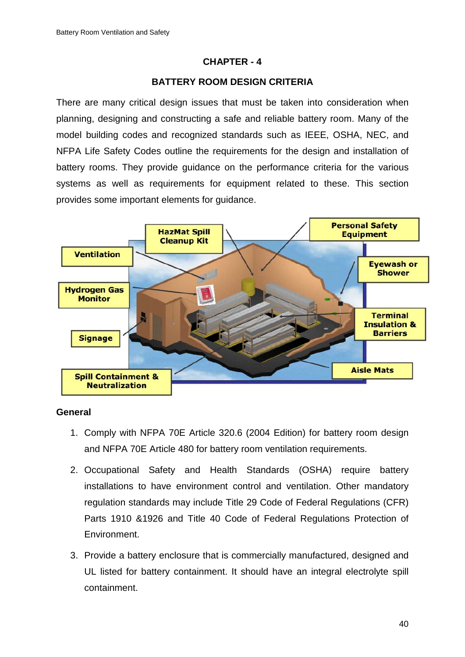### **CHAPTER - 4**

### **BATTERY ROOM DESIGN CRITERIA**

There are many critical design issues that must be taken into consideration when planning, designing and constructing a safe and reliable battery room. Many of the model building codes and recognized standards such as IEEE, OSHA, NEC, and NFPA Life Safety Codes outline the requirements for the design and installation of battery rooms. They provide guidance on the performance criteria for the various systems as well as requirements for equipment related to these. This section provides some important elements for guidance.



#### **General**

- 1. Comply with NFPA 70E Article 320.6 (2004 Edition) for battery room design and NFPA 70E Article 480 for battery room ventilation requirements.
- 2. Occupational Safety and Health Standards (OSHA) require battery installations to have environment control and ventilation. Other mandatory regulation standards may include Title 29 Code of Federal Regulations (CFR) Parts 1910 &1926 and Title 40 Code of Federal Regulations Protection of Environment.
- 3. Provide a battery enclosure that is commercially manufactured, designed and UL listed for battery containment. It should have an integral electrolyte spill containment.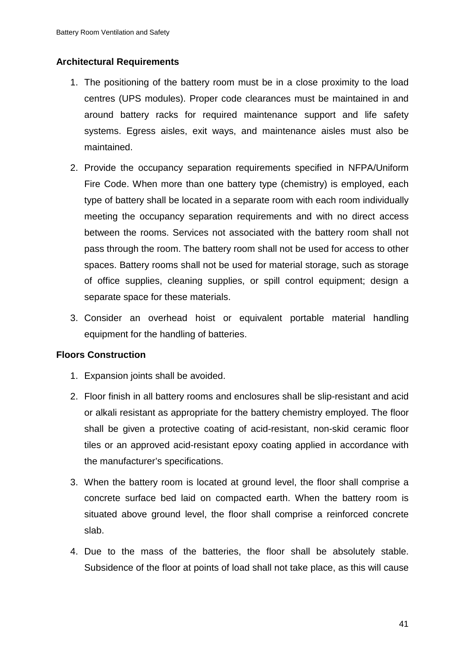### **Architectural Requirements**

- 1. The positioning of the battery room must be in a close proximity to the load centres (UPS modules). Proper code clearances must be maintained in and around battery racks for required maintenance support and life safety systems. Egress aisles, exit ways, and maintenance aisles must also be maintained.
- 2. Provide the occupancy separation requirements specified in NFPA/Uniform Fire Code. When more than one battery type (chemistry) is employed, each type of battery shall be located in a separate room with each room individually meeting the occupancy separation requirements and with no direct access between the rooms. Services not associated with the battery room shall not pass through the room. The battery room shall not be used for access to other spaces. Battery rooms shall not be used for material storage, such as storage of office supplies, cleaning supplies, or spill control equipment; design a separate space for these materials.
- 3. Consider an overhead hoist or equivalent portable material handling equipment for the handling of batteries.

### **Floors Construction**

- 1. Expansion joints shall be avoided.
- 2. Floor finish in all battery rooms and enclosures shall be slip-resistant and acid or alkali resistant as appropriate for the battery chemistry employed. The floor shall be given a protective coating of acid-resistant, non-skid ceramic floor tiles or an approved acid-resistant epoxy coating applied in accordance with the manufacturer's specifications.
- 3. When the battery room is located at ground level, the floor shall comprise a concrete surface bed laid on compacted earth. When the battery room is situated above ground level, the floor shall comprise a reinforced concrete slab.
- 4. Due to the mass of the batteries, the floor shall be absolutely stable. Subsidence of the floor at points of load shall not take place, as this will cause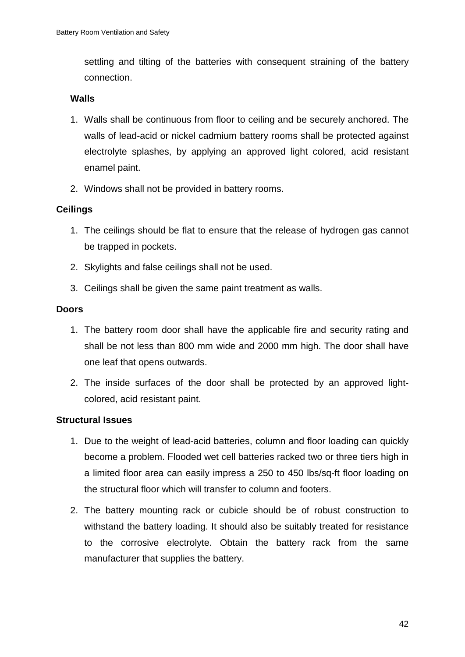settling and tilting of the batteries with consequent straining of the battery connection.

### **Walls**

- 1. Walls shall be continuous from floor to ceiling and be securely anchored. The walls of lead-acid or nickel cadmium battery rooms shall be protected against electrolyte splashes, by applying an approved light colored, acid resistant enamel paint.
- 2. Windows shall not be provided in battery rooms.

# **Ceilings**

- 1. The ceilings should be flat to ensure that the release of hydrogen gas cannot be trapped in pockets.
- 2. Skylights and false ceilings shall not be used.
- 3. Ceilings shall be given the same paint treatment as walls.

### **Doors**

- 1. The battery room door shall have the applicable fire and security rating and shall be not less than 800 mm wide and 2000 mm high. The door shall have one leaf that opens outwards.
- 2. The inside surfaces of the door shall be protected by an approved lightcolored, acid resistant paint.

### **Structural Issues**

- 1. Due to the weight of lead-acid batteries, column and floor loading can quickly become a problem. Flooded wet cell batteries racked two or three tiers high in a limited floor area can easily impress a 250 to 450 lbs/sq-ft floor loading on the structural floor which will transfer to column and footers.
- 2. The battery mounting rack or cubicle should be of robust construction to withstand the battery loading. It should also be suitably treated for resistance to the corrosive electrolyte. Obtain the battery rack from the same manufacturer that supplies the battery.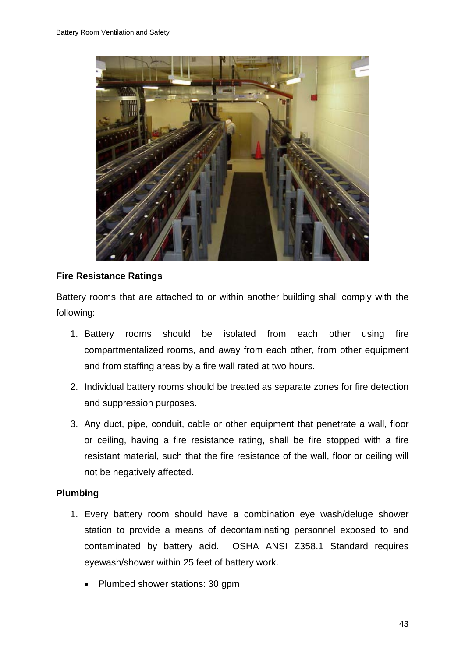

### **Fire Resistance Ratings**

Battery rooms that are attached to or within another building shall comply with the following:

- 1. Battery rooms should be isolated from each other using fire compartmentalized rooms, and away from each other, from other equipment and from staffing areas by a fire wall rated at two hours.
- 2. Individual battery rooms should be treated as separate zones for fire detection and suppression purposes.
- 3. Any duct, pipe, conduit, cable or other equipment that penetrate a wall, floor or ceiling, having a fire resistance rating, shall be fire stopped with a fire resistant material, such that the fire resistance of the wall, floor or ceiling will not be negatively affected.

### **Plumbing**

- 1. Every battery room should have a combination eye wash/deluge shower station to provide a means of decontaminating personnel exposed to and contaminated by battery acid. OSHA ANSI Z358.1 Standard requires eyewash/shower within 25 feet of battery work.
	- Plumbed shower stations: 30 gpm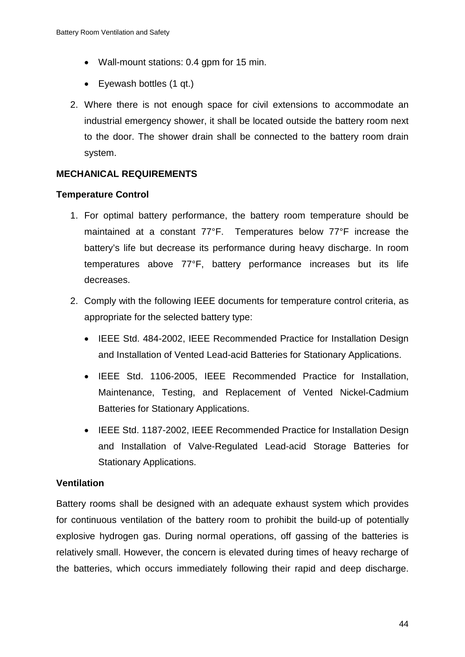- Wall-mount stations: 0.4 gpm for 15 min.
- Eyewash bottles (1 qt.)
- 2. Where there is not enough space for civil extensions to accommodate an industrial emergency shower, it shall be located outside the battery room next to the door. The shower drain shall be connected to the battery room drain system.

# **MECHANICAL REQUIREMENTS**

### **Temperature Control**

- 1. For optimal battery performance, the battery room temperature should be maintained at a constant 77°F. Temperatures below 77°F increase the battery's life but decrease its performance during heavy discharge. In room temperatures above 77°F, battery performance increases but its life decreases.
- 2. Comply with the following IEEE documents for temperature control criteria, as appropriate for the selected battery type:
	- IEEE Std. 484-2002, IEEE Recommended Practice for Installation Design and Installation of Vented Lead-acid Batteries for Stationary Applications.
	- IEEE Std. 1106-2005, IEEE Recommended Practice for Installation, Maintenance, Testing, and Replacement of Vented Nickel-Cadmium Batteries for Stationary Applications.
	- IEEE Std. 1187-2002, IEEE Recommended Practice for Installation Design and Installation of Valve-Regulated Lead-acid Storage Batteries for Stationary Applications.

### **Ventilation**

Battery rooms shall be designed with an adequate exhaust system which provides for continuous ventilation of the battery room to prohibit the build-up of potentially explosive hydrogen gas. During normal operations, off gassing of the batteries is relatively small. However, the concern is elevated during times of heavy recharge of the batteries, which occurs immediately following their rapid and deep discharge.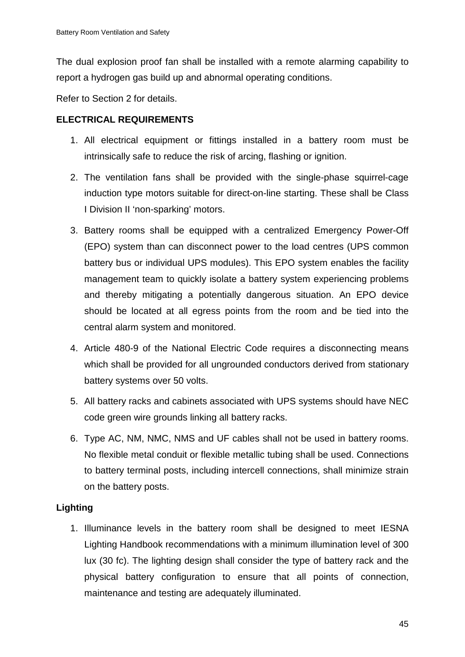The dual explosion proof fan shall be installed with a remote alarming capability to report a hydrogen gas build up and abnormal operating conditions.

Refer to Section 2 for details.

# **ELECTRICAL REQUIREMENTS**

- 1. All electrical equipment or fittings installed in a battery room must be intrinsically safe to reduce the risk of arcing, flashing or ignition.
- 2. The ventilation fans shall be provided with the single-phase squirrel-cage induction type motors suitable for direct-on-line starting. These shall be Class I Division II 'non-sparking' motors.
- 3. Battery rooms shall be equipped with a centralized Emergency Power-Off (EPO) system than can disconnect power to the load centres (UPS common battery bus or individual UPS modules). This EPO system enables the facility management team to quickly isolate a battery system experiencing problems and thereby mitigating a potentially dangerous situation. An EPO device should be located at all egress points from the room and be tied into the central alarm system and monitored.
- 4. Article 480-9 of the National Electric Code requires a disconnecting means which shall be provided for all ungrounded conductors derived from stationary battery systems over 50 volts.
- 5. All battery racks and cabinets associated with UPS systems should have NEC code green wire grounds linking all battery racks.
- 6. Type AC, NM, NMC, NMS and UF cables shall not be used in battery rooms. No flexible metal conduit or flexible metallic tubing shall be used. Connections to battery terminal posts, including intercell connections, shall minimize strain on the battery posts.

# **Lighting**

1. Illuminance levels in the battery room shall be designed to meet IESNA Lighting Handbook recommendations with a minimum illumination level of 300 lux (30 fc). The lighting design shall consider the type of battery rack and the physical battery configuration to ensure that all points of connection, maintenance and testing are adequately illuminated.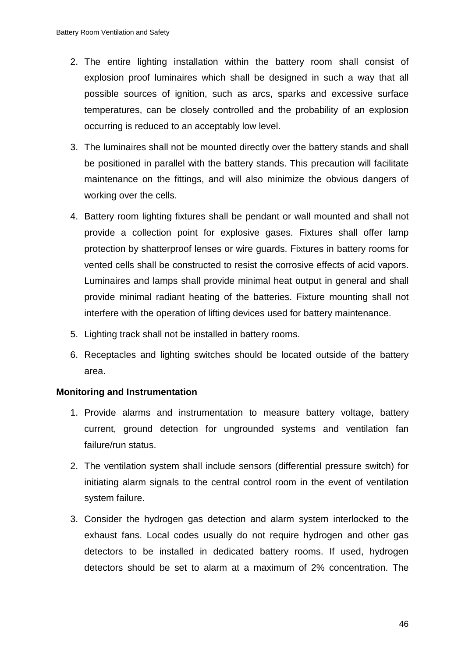- 2. The entire lighting installation within the battery room shall consist of explosion proof luminaires which shall be designed in such a way that all possible sources of ignition, such as arcs, sparks and excessive surface temperatures, can be closely controlled and the probability of an explosion occurring is reduced to an acceptably low level.
- 3. The luminaires shall not be mounted directly over the battery stands and shall be positioned in parallel with the battery stands. This precaution will facilitate maintenance on the fittings, and will also minimize the obvious dangers of working over the cells.
- 4. Battery room lighting fixtures shall be pendant or wall mounted and shall not provide a collection point for explosive gases. Fixtures shall offer lamp protection by shatterproof lenses or wire guards. Fixtures in battery rooms for vented cells shall be constructed to resist the corrosive effects of acid vapors. Luminaires and lamps shall provide minimal heat output in general and shall provide minimal radiant heating of the batteries. Fixture mounting shall not interfere with the operation of lifting devices used for battery maintenance.
- 5. Lighting track shall not be installed in battery rooms.
- 6. Receptacles and lighting switches should be located outside of the battery area.

### **Monitoring and Instrumentation**

- 1. Provide alarms and instrumentation to measure battery voltage, battery current, ground detection for ungrounded systems and ventilation fan failure/run status.
- 2. The ventilation system shall include sensors (differential pressure switch) for initiating alarm signals to the central control room in the event of ventilation system failure.
- 3. Consider the hydrogen gas detection and alarm system interlocked to the exhaust fans. Local codes usually do not require hydrogen and other gas detectors to be installed in dedicated battery rooms. If used, hydrogen detectors should be set to alarm at a maximum of 2% concentration. The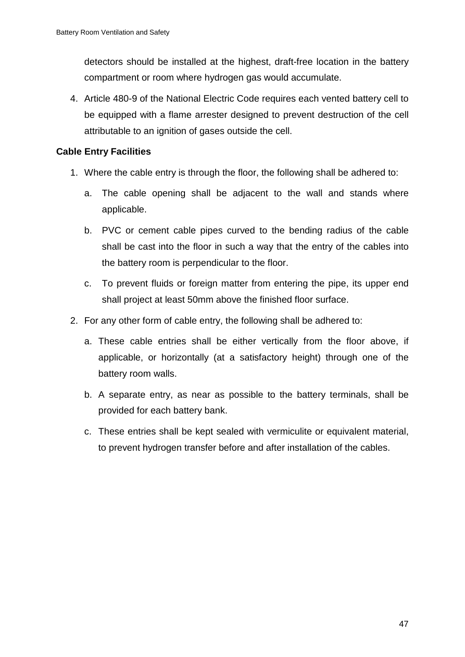detectors should be installed at the highest, draft-free location in the battery compartment or room where hydrogen gas would accumulate.

4. Article 480-9 of the National Electric Code requires each vented battery cell to be equipped with a flame arrester designed to prevent destruction of the cell attributable to an ignition of gases outside the cell.

### **Cable Entry Facilities**

- 1. Where the cable entry is through the floor, the following shall be adhered to:
	- a. The cable opening shall be adjacent to the wall and stands where applicable.
	- b. PVC or cement cable pipes curved to the bending radius of the cable shall be cast into the floor in such a way that the entry of the cables into the battery room is perpendicular to the floor.
	- c. To prevent fluids or foreign matter from entering the pipe, its upper end shall project at least 50mm above the finished floor surface.
- 2. For any other form of cable entry, the following shall be adhered to:
	- a. These cable entries shall be either vertically from the floor above, if applicable, or horizontally (at a satisfactory height) through one of the battery room walls.
	- b. A separate entry, as near as possible to the battery terminals, shall be provided for each battery bank.
	- c. These entries shall be kept sealed with vermiculite or equivalent material, to prevent hydrogen transfer before and after installation of the cables.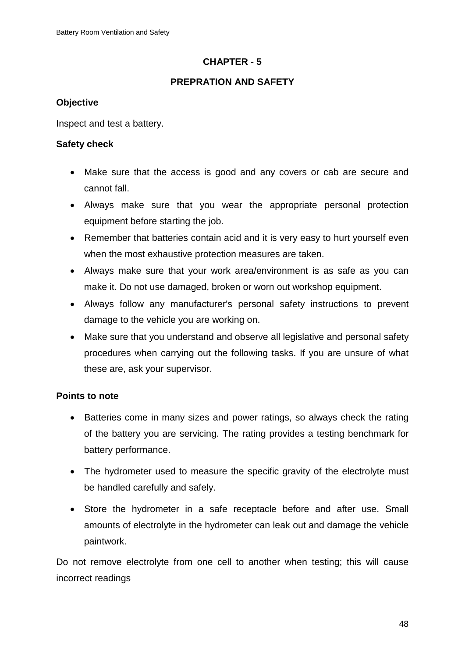# **CHAPTER - 5**

# **PREPRATION AND SAFETY**

# **Objective**

Inspect and test a battery.

# **Safety check**

- Make sure that the access is good and any covers or cab are secure and cannot fall.
- Always make sure that you wear the appropriate personal protection equipment before starting the job.
- Remember that batteries contain acid and it is very easy to hurt yourself even when the most exhaustive protection measures are taken.
- Always make sure that your work area/environment is as safe as you can make it. Do not use damaged, broken or worn out workshop equipment.
- Always follow any manufacturer's personal safety instructions to prevent damage to the vehicle you are working on.
- Make sure that you understand and observe all legislative and personal safety procedures when carrying out the following tasks. If you are unsure of what these are, ask your supervisor.

# **Points to note**

- Batteries come in many sizes and power ratings, so always check the rating of the battery you are servicing. The rating provides a testing benchmark for battery performance.
- The hydrometer used to measure the specific gravity of the electrolyte must be handled carefully and safely.
- Store the hydrometer in a safe receptacle before and after use. Small amounts of electrolyte in the hydrometer can leak out and damage the vehicle paintwork.

Do not remove electrolyte from one cell to another when testing; this will cause incorrect readings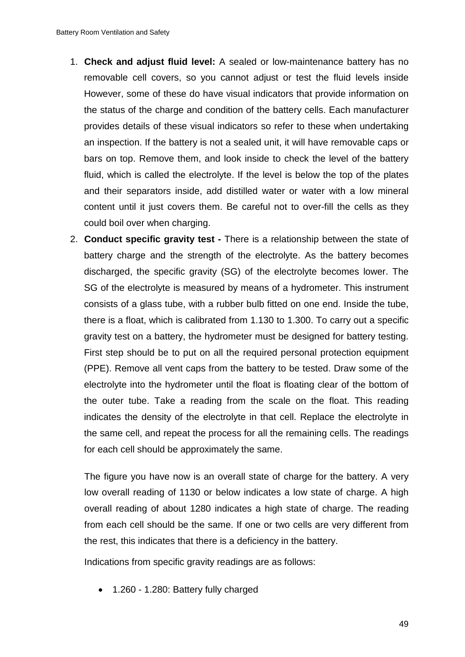- 1. **Check and adjust fluid level:** A sealed or low-maintenance battery has no removable cell covers, so you cannot adjust or test the fluid levels inside However, some of these do have visual indicators that provide information on the status of the charge and condition of the battery cells. Each manufacturer provides details of these visual indicators so refer to these when undertaking an inspection. If the battery is not a sealed unit, it will have removable caps or bars on top. Remove them, and look inside to check the level of the battery fluid, which is called the electrolyte. If the level is below the top of the plates and their separators inside, add distilled water or water with a low mineral content until it just covers them. Be careful not to over-fill the cells as they could boil over when charging.
- 2. **Conduct specific gravity test -** There is a relationship between the state of battery charge and the strength of the electrolyte. As the battery becomes discharged, the specific gravity (SG) of the electrolyte becomes lower. The SG of the electrolyte is measured by means of a hydrometer. This instrument consists of a glass tube, with a rubber bulb fitted on one end. Inside the tube, there is a float, which is calibrated from 1.130 to 1.300. To carry out a specific gravity test on a battery, the hydrometer must be designed for battery testing. First step should be to put on all the required personal protection equipment (PPE). Remove all vent caps from the battery to be tested. Draw some of the electrolyte into the hydrometer until the float is floating clear of the bottom of the outer tube. Take a reading from the scale on the float. This reading indicates the density of the electrolyte in that cell. Replace the electrolyte in the same cell, and repeat the process for all the remaining cells. The readings for each cell should be approximately the same.

The figure you have now is an overall state of charge for the battery. A very low overall reading of 1130 or below indicates a low state of charge. A high overall reading of about 1280 indicates a high state of charge. The reading from each cell should be the same. If one or two cells are very different from the rest, this indicates that there is a deficiency in the battery.

Indications from specific gravity readings are as follows:

• 1.260 - 1.280: Battery fully charged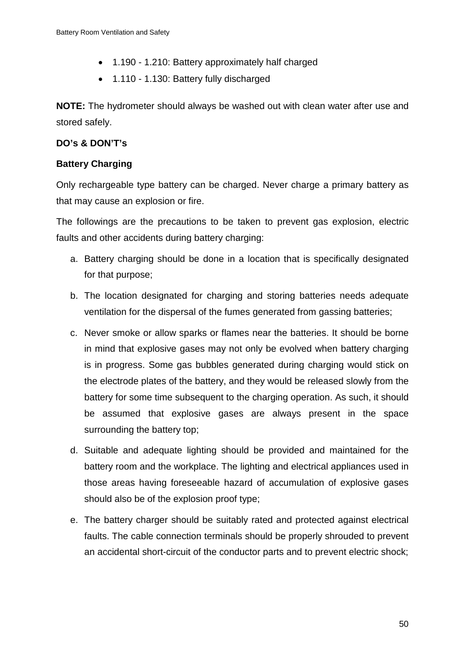- 1.190 1.210: Battery approximately half charged
- 1.110 1.130: Battery fully discharged

**NOTE:** The hydrometer should always be washed out with clean water after use and stored safely.

# **DO's & DON'T's**

# **Battery Charging**

Only rechargeable type battery can be charged. Never charge a primary battery as that may cause an explosion or fire.

The followings are the precautions to be taken to prevent gas explosion, electric faults and other accidents during battery charging:

- a. Battery charging should be done in a location that is specifically designated for that purpose;
- b. The location designated for charging and storing batteries needs adequate ventilation for the dispersal of the fumes generated from gassing batteries;
- c. Never smoke or allow sparks or flames near the batteries. It should be borne in mind that explosive gases may not only be evolved when battery charging is in progress. Some gas bubbles generated during charging would stick on the electrode plates of the battery, and they would be released slowly from the battery for some time subsequent to the charging operation. As such, it should be assumed that explosive gases are always present in the space surrounding the battery top;
- d. Suitable and adequate lighting should be provided and maintained for the battery room and the workplace. The lighting and electrical appliances used in those areas having foreseeable hazard of accumulation of explosive gases should also be of the explosion proof type;
- e. The battery charger should be suitably rated and protected against electrical faults. The cable connection terminals should be properly shrouded to prevent an accidental short-circuit of the conductor parts and to prevent electric shock;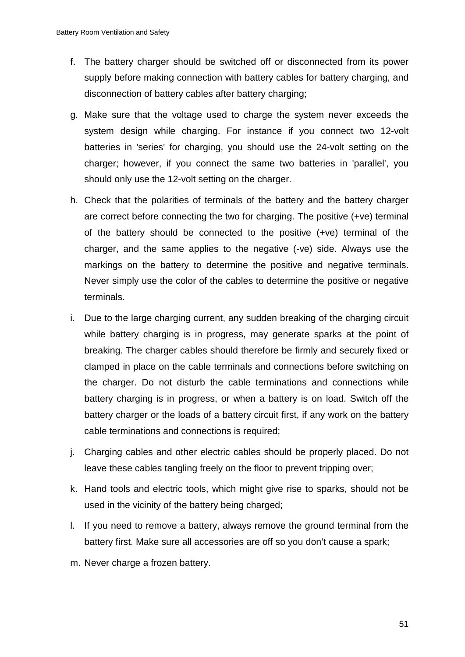- f. The battery charger should be switched off or disconnected from its power supply before making connection with battery cables for battery charging, and disconnection of battery cables after battery charging;
- g. Make sure that the voltage used to charge the system never exceeds the system design while charging. For instance if you connect two 12-volt batteries in 'series' for charging, you should use the 24-volt setting on the charger; however, if you connect the same two batteries in 'parallel', you should only use the 12-volt setting on the charger.
- h. Check that the polarities of terminals of the battery and the battery charger are correct before connecting the two for charging. The positive (+ve) terminal of the battery should be connected to the positive (+ve) terminal of the charger, and the same applies to the negative (-ve) side. Always use the markings on the battery to determine the positive and negative terminals. Never simply use the color of the cables to determine the positive or negative terminals.
- i. Due to the large charging current, any sudden breaking of the charging circuit while battery charging is in progress, may generate sparks at the point of breaking. The charger cables should therefore be firmly and securely fixed or clamped in place on the cable terminals and connections before switching on the charger. Do not disturb the cable terminations and connections while battery charging is in progress, or when a battery is on load. Switch off the battery charger or the loads of a battery circuit first, if any work on the battery cable terminations and connections is required;
- j. Charging cables and other electric cables should be properly placed. Do not leave these cables tangling freely on the floor to prevent tripping over;
- k. Hand tools and electric tools, which might give rise to sparks, should not be used in the vicinity of the battery being charged;
- l. If you need to remove a battery, always remove the ground terminal from the battery first. Make sure all accessories are off so you don't cause a spark;
- m. Never charge a frozen battery.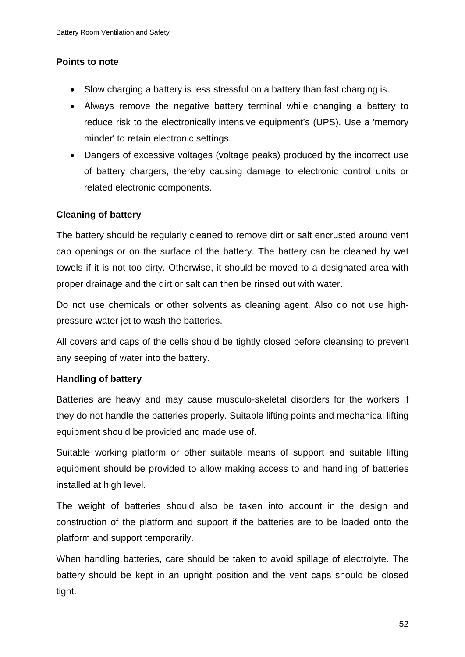### **Points to note**

- Slow charging a battery is less stressful on a battery than fast charging is.
- Always remove the negative battery terminal while changing a battery to reduce risk to the electronically intensive equipment's (UPS). Use a 'memory minder' to retain electronic settings.
- Dangers of excessive voltages (voltage peaks) produced by the incorrect use of battery chargers, thereby causing damage to electronic control units or related electronic components.

### **Cleaning of battery**

The battery should be regularly cleaned to remove dirt or salt encrusted around vent cap openings or on the surface of the battery. The battery can be cleaned by wet towels if it is not too dirty. Otherwise, it should be moved to a designated area with proper drainage and the dirt or salt can then be rinsed out with water.

Do not use chemicals or other solvents as cleaning agent. Also do not use highpressure water jet to wash the batteries.

All covers and caps of the cells should be tightly closed before cleansing to prevent any seeping of water into the battery.

### **Handling of battery**

Batteries are heavy and may cause musculo-skeletal disorders for the workers if they do not handle the batteries properly. Suitable lifting points and mechanical lifting equipment should be provided and made use of.

Suitable working platform or other suitable means of support and suitable lifting equipment should be provided to allow making access to and handling of batteries installed at high level.

The weight of batteries should also be taken into account in the design and construction of the platform and support if the batteries are to be loaded onto the platform and support temporarily.

When handling batteries, care should be taken to avoid spillage of electrolyte. The battery should be kept in an upright position and the vent caps should be closed tight.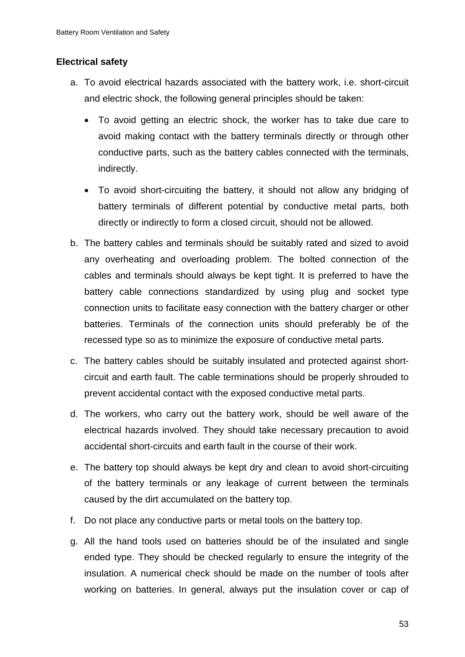### **Electrical safety**

- a. To avoid electrical hazards associated with the battery work, i.e. short-circuit and electric shock, the following general principles should be taken:
	- To avoid getting an electric shock, the worker has to take due care to avoid making contact with the battery terminals directly or through other conductive parts, such as the battery cables connected with the terminals, indirectly.
	- To avoid short-circuiting the battery, it should not allow any bridging of battery terminals of different potential by conductive metal parts, both directly or indirectly to form a closed circuit, should not be allowed.
- b. The battery cables and terminals should be suitably rated and sized to avoid any overheating and overloading problem. The bolted connection of the cables and terminals should always be kept tight. It is preferred to have the battery cable connections standardized by using plug and socket type connection units to facilitate easy connection with the battery charger or other batteries. Terminals of the connection units should preferably be of the recessed type so as to minimize the exposure of conductive metal parts.
- c. The battery cables should be suitably insulated and protected against shortcircuit and earth fault. The cable terminations should be properly shrouded to prevent accidental contact with the exposed conductive metal parts.
- d. The workers, who carry out the battery work, should be well aware of the electrical hazards involved. They should take necessary precaution to avoid accidental short-circuits and earth fault in the course of their work.
- e. The battery top should always be kept dry and clean to avoid short-circuiting of the battery terminals or any leakage of current between the terminals caused by the dirt accumulated on the battery top.
- f. Do not place any conductive parts or metal tools on the battery top.
- g. All the hand tools used on batteries should be of the insulated and single ended type. They should be checked regularly to ensure the integrity of the insulation. A numerical check should be made on the number of tools after working on batteries. In general, always put the insulation cover or cap of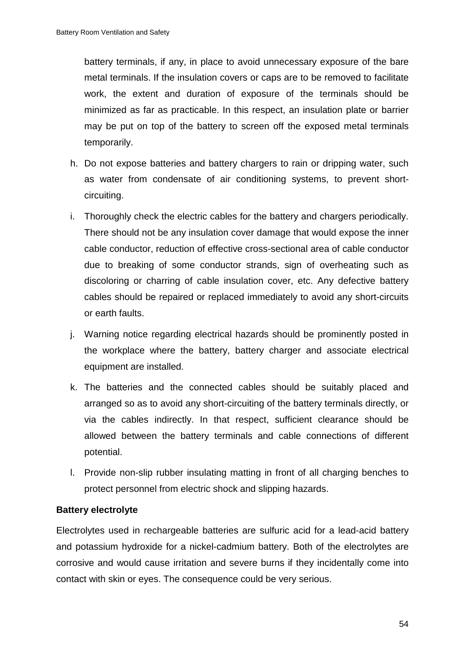battery terminals, if any, in place to avoid unnecessary exposure of the bare metal terminals. If the insulation covers or caps are to be removed to facilitate work, the extent and duration of exposure of the terminals should be minimized as far as practicable. In this respect, an insulation plate or barrier may be put on top of the battery to screen off the exposed metal terminals temporarily.

- h. Do not expose batteries and battery chargers to rain or dripping water, such as water from condensate of air conditioning systems, to prevent shortcircuiting.
- i. Thoroughly check the electric cables for the battery and chargers periodically. There should not be any insulation cover damage that would expose the inner cable conductor, reduction of effective cross-sectional area of cable conductor due to breaking of some conductor strands, sign of overheating such as discoloring or charring of cable insulation cover, etc. Any defective battery cables should be repaired or replaced immediately to avoid any short-circuits or earth faults.
- j. Warning notice regarding electrical hazards should be prominently posted in the workplace where the battery, battery charger and associate electrical equipment are installed.
- k. The batteries and the connected cables should be suitably placed and arranged so as to avoid any short-circuiting of the battery terminals directly, or via the cables indirectly. In that respect, sufficient clearance should be allowed between the battery terminals and cable connections of different potential.
- l. Provide non-slip rubber insulating matting in front of all charging benches to protect personnel from electric shock and slipping hazards.

### **Battery electrolyte**

Electrolytes used in rechargeable batteries are sulfuric acid for a lead-acid battery and potassium hydroxide for a nickel-cadmium battery. Both of the electrolytes are corrosive and would cause irritation and severe burns if they incidentally come into contact with skin or eyes. The consequence could be very serious.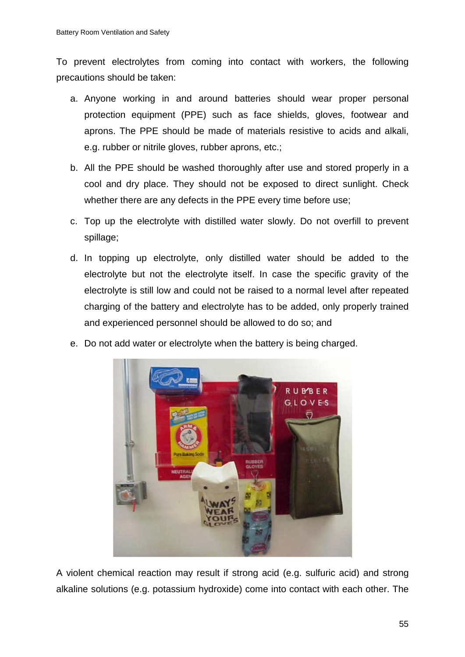To prevent electrolytes from coming into contact with workers, the following precautions should be taken:

- a. Anyone working in and around batteries should wear proper personal protection equipment (PPE) such as face shields, gloves, footwear and aprons. The PPE should be made of materials resistive to acids and alkali, e.g. rubber or nitrile gloves, rubber aprons, etc.;
- b. All the PPE should be washed thoroughly after use and stored properly in a cool and dry place. They should not be exposed to direct sunlight. Check whether there are any defects in the PPE every time before use;
- c. Top up the electrolyte with distilled water slowly. Do not overfill to prevent spillage;
- d. In topping up electrolyte, only distilled water should be added to the electrolyte but not the electrolyte itself. In case the specific gravity of the electrolyte is still low and could not be raised to a normal level after repeated charging of the battery and electrolyte has to be added, only properly trained and experienced personnel should be allowed to do so; and
- e. Do not add water or electrolyte when the battery is being charged.



A violent chemical reaction may result if strong acid (e.g. sulfuric acid) and strong alkaline solutions (e.g. potassium hydroxide) come into contact with each other. The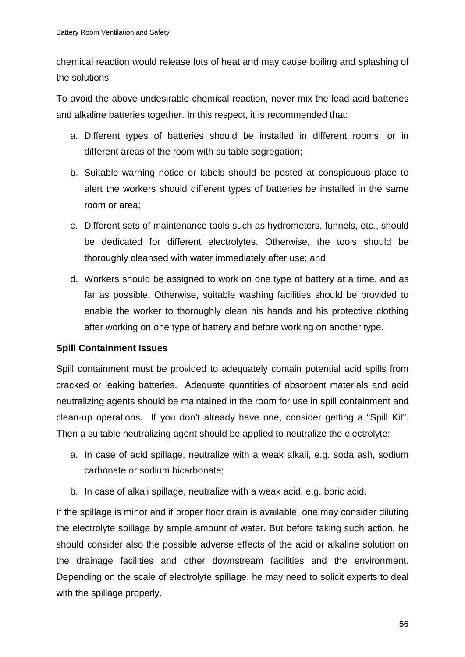chemical reaction would release lots of heat and may cause boiling and splashing of the solutions.

To avoid the above undesirable chemical reaction, never mix the lead-acid batteries and alkaline batteries together. In this respect, it is recommended that:

- a. Different types of batteries should be installed in different rooms, or in different areas of the room with suitable segregation;
- b. Suitable warning notice or labels should be posted at conspicuous place to alert the workers should different types of batteries be installed in the same room or area;
- c. Different sets of maintenance tools such as hydrometers, funnels, etc., should be dedicated for different electrolytes. Otherwise, the tools should be thoroughly cleansed with water immediately after use; and
- d. Workers should be assigned to work on one type of battery at a time, and as far as possible. Otherwise, suitable washing facilities should be provided to enable the worker to thoroughly clean his hands and his protective clothing after working on one type of battery and before working on another type.

# **Spill Containment Issues**

Spill containment must be provided to adequately contain potential acid spills from cracked or leaking batteries. Adequate quantities of absorbent materials and acid neutralizing agents should be maintained in the room for use in spill containment and clean-up operations. If you don't already have one, consider getting a "Spill Kit". Then a suitable neutralizing agent should be applied to neutralize the electrolyte:

- a. In case of acid spillage, neutralize with a weak alkali, e.g. soda ash, sodium carbonate or sodium bicarbonate;
- b. In case of alkali spillage, neutralize with a weak acid, e.g. boric acid.

If the spillage is minor and if proper floor drain is available, one may consider diluting the electrolyte spillage by ample amount of water. But before taking such action, he should consider also the possible adverse effects of the acid or alkaline solution on the drainage facilities and other downstream facilities and the environment. Depending on the scale of electrolyte spillage, he may need to solicit experts to deal with the spillage properly.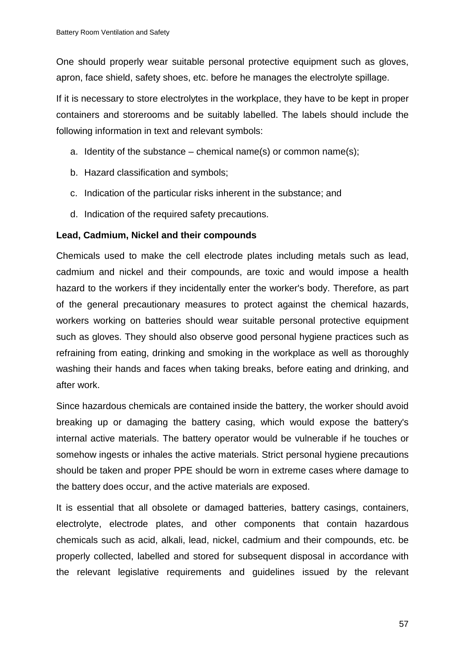One should properly wear suitable personal protective equipment such as gloves, apron, face shield, safety shoes, etc. before he manages the electrolyte spillage.

If it is necessary to store electrolytes in the workplace, they have to be kept in proper containers and storerooms and be suitably labelled. The labels should include the following information in text and relevant symbols:

- a. Identity of the substance chemical name(s) or common name(s);
- b. Hazard classification and symbols;
- c. Indication of the particular risks inherent in the substance; and
- d. Indication of the required safety precautions.

### **Lead, Cadmium, Nickel and their compounds**

Chemicals used to make the cell electrode plates including metals such as lead, cadmium and nickel and their compounds, are toxic and would impose a health hazard to the workers if they incidentally enter the worker's body. Therefore, as part of the general precautionary measures to protect against the chemical hazards, workers working on batteries should wear suitable personal protective equipment such as gloves. They should also observe good personal hygiene practices such as refraining from eating, drinking and smoking in the workplace as well as thoroughly washing their hands and faces when taking breaks, before eating and drinking, and after work.

Since hazardous chemicals are contained inside the battery, the worker should avoid breaking up or damaging the battery casing, which would expose the battery's internal active materials. The battery operator would be vulnerable if he touches or somehow ingests or inhales the active materials. Strict personal hygiene precautions should be taken and proper PPE should be worn in extreme cases where damage to the battery does occur, and the active materials are exposed.

It is essential that all obsolete or damaged batteries, battery casings, containers, electrolyte, electrode plates, and other components that contain hazardous chemicals such as acid, alkali, lead, nickel, cadmium and their compounds, etc. be properly collected, labelled and stored for subsequent disposal in accordance with the relevant legislative requirements and guidelines issued by the relevant

57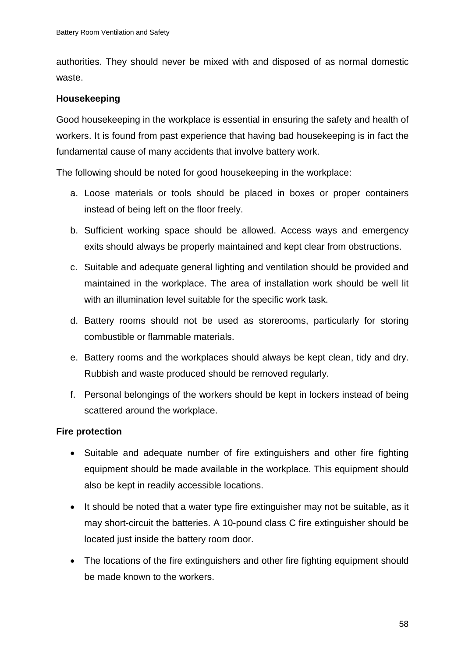authorities. They should never be mixed with and disposed of as normal domestic waste.

### **Housekeeping**

Good housekeeping in the workplace is essential in ensuring the safety and health of workers. It is found from past experience that having bad housekeeping is in fact the fundamental cause of many accidents that involve battery work.

The following should be noted for good housekeeping in the workplace:

- a. Loose materials or tools should be placed in boxes or proper containers instead of being left on the floor freely.
- b. Sufficient working space should be allowed. Access ways and emergency exits should always be properly maintained and kept clear from obstructions.
- c. Suitable and adequate general lighting and ventilation should be provided and maintained in the workplace. The area of installation work should be well lit with an illumination level suitable for the specific work task.
- d. Battery rooms should not be used as storerooms, particularly for storing combustible or flammable materials.
- e. Battery rooms and the workplaces should always be kept clean, tidy and dry. Rubbish and waste produced should be removed regularly.
- f. Personal belongings of the workers should be kept in lockers instead of being scattered around the workplace.

### **Fire protection**

- Suitable and adequate number of fire extinguishers and other fire fighting equipment should be made available in the workplace. This equipment should also be kept in readily accessible locations.
- It should be noted that a water type fire extinguisher may not be suitable, as it may short-circuit the batteries. A 10-pound class C fire extinguisher should be located just inside the battery room door.
- The locations of the fire extinguishers and other fire fighting equipment should be made known to the workers.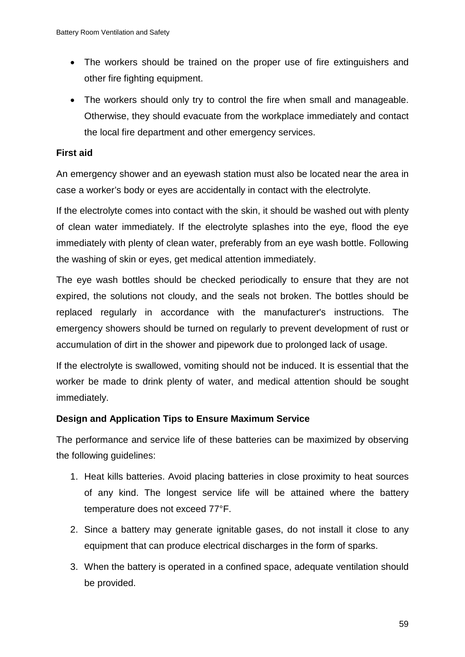- The workers should be trained on the proper use of fire extinguishers and other fire fighting equipment.
- The workers should only try to control the fire when small and manageable. Otherwise, they should evacuate from the workplace immediately and contact the local fire department and other emergency services.

### **First aid**

An emergency shower and an eyewash station must also be located near the area in case a worker's body or eyes are accidentally in contact with the electrolyte.

If the electrolyte comes into contact with the skin, it should be washed out with plenty of clean water immediately. If the electrolyte splashes into the eye, flood the eye immediately with plenty of clean water, preferably from an eye wash bottle. Following the washing of skin or eyes, get medical attention immediately.

The eye wash bottles should be checked periodically to ensure that they are not expired, the solutions not cloudy, and the seals not broken. The bottles should be replaced regularly in accordance with the manufacturer's instructions. The emergency showers should be turned on regularly to prevent development of rust or accumulation of dirt in the shower and pipework due to prolonged lack of usage.

If the electrolyte is swallowed, vomiting should not be induced. It is essential that the worker be made to drink plenty of water, and medical attention should be sought immediately.

# **Design and Application Tips to Ensure Maximum Service**

The performance and service life of these batteries can be maximized by observing the following guidelines:

- 1. Heat kills batteries. Avoid placing batteries in close proximity to heat sources of any kind. The longest service life will be attained where the battery temperature does not exceed 77°F.
- 2. Since a battery may generate ignitable gases, do not install it close to any equipment that can produce electrical discharges in the form of sparks.
- 3. When the battery is operated in a confined space, adequate ventilation should be provided.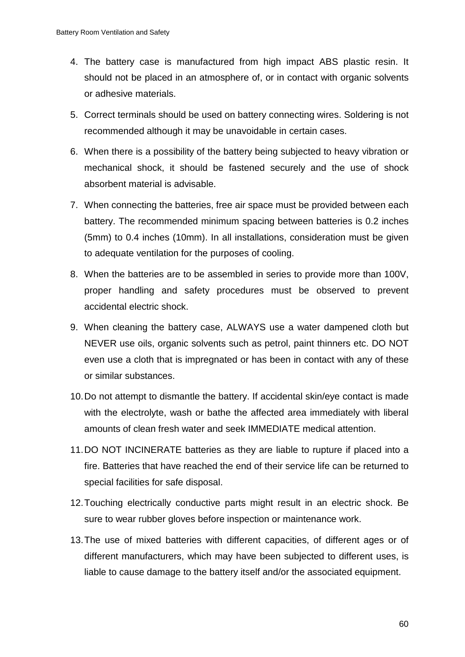- 4. The battery case is manufactured from high impact ABS plastic resin. It should not be placed in an atmosphere of, or in contact with organic solvents or adhesive materials.
- 5. Correct terminals should be used on battery connecting wires. Soldering is not recommended although it may be unavoidable in certain cases.
- 6. When there is a possibility of the battery being subjected to heavy vibration or mechanical shock, it should be fastened securely and the use of shock absorbent material is advisable.
- 7. When connecting the batteries, free air space must be provided between each battery. The recommended minimum spacing between batteries is 0.2 inches (5mm) to 0.4 inches (10mm). In all installations, consideration must be given to adequate ventilation for the purposes of cooling.
- 8. When the batteries are to be assembled in series to provide more than 100V, proper handling and safety procedures must be observed to prevent accidental electric shock.
- 9. When cleaning the battery case, ALWAYS use a water dampened cloth but NEVER use oils, organic solvents such as petrol, paint thinners etc. DO NOT even use a cloth that is impregnated or has been in contact with any of these or similar substances.
- 10.Do not attempt to dismantle the battery. If accidental skin/eye contact is made with the electrolyte, wash or bathe the affected area immediately with liberal amounts of clean fresh water and seek IMMEDIATE medical attention.
- 11.DO NOT INCINERATE batteries as they are liable to rupture if placed into a fire. Batteries that have reached the end of their service life can be returned to special facilities for safe disposal.
- 12.Touching electrically conductive parts might result in an electric shock. Be sure to wear rubber gloves before inspection or maintenance work.
- 13.The use of mixed batteries with different capacities, of different ages or of different manufacturers, which may have been subjected to different uses, is liable to cause damage to the battery itself and/or the associated equipment.